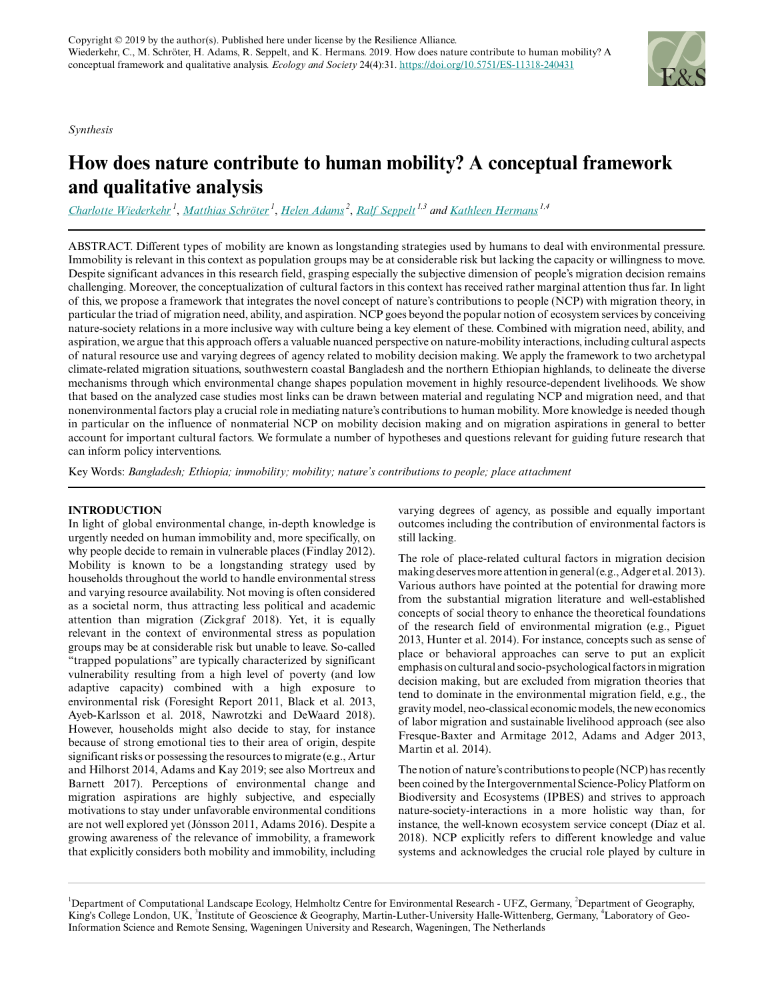*Synthesis*



# **How does nature contribute to human mobility? A conceptual framework and qualitative analysis**

*[Charlotte Wiederkehr](mailto:charlotte.wiederkehr@ufz.de)<sup>1</sup>* , *[Matthias Schröter](mailto:matthias.schroeter@ufz.de)<sup>1</sup>* , *[Helen Adams](mailto:helen.j.adams@kcl.ac.uk)<sup>2</sup>* , *[Ralf Seppelt](mailto:ralf.seppelt@ufz.de) 1,3 and [Kathleen Hermans](mailto:kathleen.hermans@ufz.de) 1,4*

ABSTRACT. Different types of mobility are known as longstanding strategies used by humans to deal with environmental pressure. Immobility is relevant in this context as population groups may be at considerable risk but lacking the capacity or willingness to move. Despite significant advances in this research field, grasping especially the subjective dimension of people's migration decision remains challenging. Moreover, the conceptualization of cultural factors in this context has received rather marginal attention thus far. In light of this, we propose a framework that integrates the novel concept of nature's contributions to people (NCP) with migration theory, in particular the triad of migration need, ability, and aspiration. NCP goes beyond the popular notion of ecosystem services by conceiving nature-society relations in a more inclusive way with culture being a key element of these. Combined with migration need, ability, and aspiration, we argue that this approach offers a valuable nuanced perspective on nature-mobility interactions, including cultural aspects of natural resource use and varying degrees of agency related to mobility decision making. We apply the framework to two archetypal climate-related migration situations, southwestern coastal Bangladesh and the northern Ethiopian highlands, to delineate the diverse mechanisms through which environmental change shapes population movement in highly resource-dependent livelihoods. We show that based on the analyzed case studies most links can be drawn between material and regulating NCP and migration need, and that nonenvironmental factors play a crucial role in mediating nature's contributions to human mobility. More knowledge is needed though in particular on the influence of nonmaterial NCP on mobility decision making and on migration aspirations in general to better account for important cultural factors. We formulate a number of hypotheses and questions relevant for guiding future research that can inform policy interventions.

Key Words: *Bangladesh; Ethiopia; immobility; mobility; nature's contributions to people; place attachment*

## **INTRODUCTION**

In light of global environmental change, in-depth knowledge is urgently needed on human immobility and, more specifically, on why people decide to remain in vulnerable places (Findlay 2012). Mobility is known to be a longstanding strategy used by households throughout the world to handle environmental stress and varying resource availability. Not moving is often considered as a societal norm, thus attracting less political and academic attention than migration (Zickgraf 2018). Yet, it is equally relevant in the context of environmental stress as population groups may be at considerable risk but unable to leave. So-called "trapped populations" are typically characterized by significant vulnerability resulting from a high level of poverty (and low adaptive capacity) combined with a high exposure to environmental risk (Foresight Report 2011, Black et al. 2013, Ayeb-Karlsson et al. 2018, Nawrotzki and DeWaard 2018). However, households might also decide to stay, for instance because of strong emotional ties to their area of origin, despite significant risks or possessing the resources to migrate (e.g., Artur and Hilhorst 2014, Adams and Kay 2019; see also Mortreux and Barnett 2017). Perceptions of environmental change and migration aspirations are highly subjective, and especially motivations to stay under unfavorable environmental conditions are not well explored yet (Jónsson 2011, Adams 2016). Despite a growing awareness of the relevance of immobility, a framework that explicitly considers both mobility and immobility, including varying degrees of agency, as possible and equally important outcomes including the contribution of environmental factors is still lacking.

The role of place-related cultural factors in migration decision making deserves more attention in general (e.g., Adger et al. 2013). Various authors have pointed at the potential for drawing more from the substantial migration literature and well-established concepts of social theory to enhance the theoretical foundations of the research field of environmental migration (e.g., Piguet 2013, Hunter et al. 2014). For instance, concepts such as sense of place or behavioral approaches can serve to put an explicit emphasis on cultural and socio-psychological factors in migration decision making, but are excluded from migration theories that tend to dominate in the environmental migration field, e.g., the gravity model, neo-classical economic models, the new economics of labor migration and sustainable livelihood approach (see also Fresque-Baxter and Armitage 2012, Adams and Adger 2013, Martin et al. 2014).

The notion of nature's contributions to people (NCP) has recently been coined by the Intergovernmental Science-Policy Platform on Biodiversity and Ecosystems (IPBES) and strives to approach nature-society-interactions in a more holistic way than, for instance, the well-known ecosystem service concept (Díaz et al. 2018). NCP explicitly refers to different knowledge and value systems and acknowledges the crucial role played by culture in

<sup>&</sup>lt;sup>1</sup>Department of Computational Landscape Ecology, Helmholtz Centre for Environmental Research - UFZ, Germany, <sup>2</sup>Department of Geography, King's College London, UK, <sup>3</sup>Institute of Geoscience & Geography, Martin-Luther-University Halle-Wittenberg, Germany, <sup>4</sup>Laboratory of Geo-Information Science and Remote Sensing, Wageningen University and Research, Wageningen, The Netherlands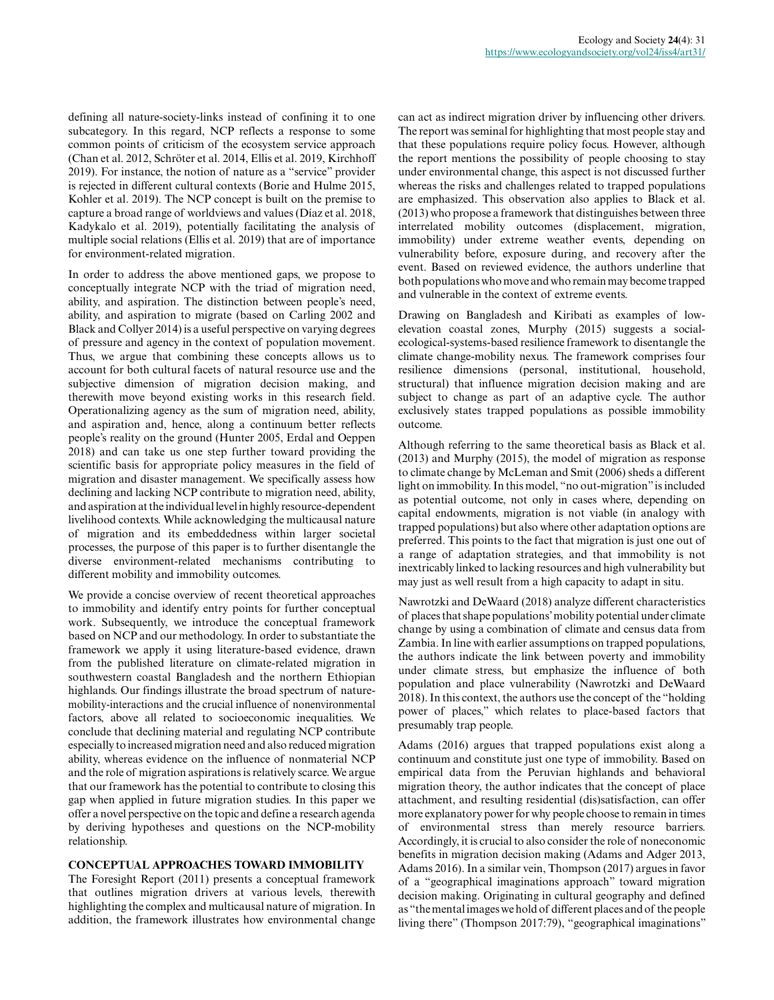defining all nature-society-links instead of confining it to one subcategory. In this regard, NCP reflects a response to some common points of criticism of the ecosystem service approach (Chan et al. 2012, Schröter et al. 2014, Ellis et al. 2019, Kirchhoff 2019). For instance, the notion of nature as a "service" provider is rejected in different cultural contexts (Borie and Hulme 2015, Kohler et al. 2019). The NCP concept is built on the premise to capture a broad range of worldviews and values (Díaz et al. 2018, Kadykalo et al. 2019), potentially facilitating the analysis of multiple social relations (Ellis et al. 2019) that are of importance for environment-related migration.

In order to address the above mentioned gaps, we propose to conceptually integrate NCP with the triad of migration need, ability, and aspiration. The distinction between people's need, ability, and aspiration to migrate (based on Carling 2002 and Black and Collyer 2014) is a useful perspective on varying degrees of pressure and agency in the context of population movement. Thus, we argue that combining these concepts allows us to account for both cultural facets of natural resource use and the subjective dimension of migration decision making, and therewith move beyond existing works in this research field. Operationalizing agency as the sum of migration need, ability, and aspiration and, hence, along a continuum better reflects people's reality on the ground (Hunter 2005, Erdal and Oeppen 2018) and can take us one step further toward providing the scientific basis for appropriate policy measures in the field of migration and disaster management. We specifically assess how declining and lacking NCP contribute to migration need, ability, and aspiration at the individual level in highly resource-dependent livelihood contexts. While acknowledging the multicausal nature of migration and its embeddedness within larger societal processes, the purpose of this paper is to further disentangle the diverse environment-related mechanisms contributing to different mobility and immobility outcomes.

We provide a concise overview of recent theoretical approaches to immobility and identify entry points for further conceptual work. Subsequently, we introduce the conceptual framework based on NCP and our methodology. In order to substantiate the framework we apply it using literature-based evidence, drawn from the published literature on climate-related migration in southwestern coastal Bangladesh and the northern Ethiopian highlands. Our findings illustrate the broad spectrum of naturemobility-interactions and the crucial influence of nonenvironmental factors, above all related to socioeconomic inequalities. We conclude that declining material and regulating NCP contribute especially to increased migration need and also reduced migration ability, whereas evidence on the influence of nonmaterial NCP and the role of migration aspirations is relatively scarce. We argue that our framework has the potential to contribute to closing this gap when applied in future migration studies. In this paper we offer a novel perspective on the topic and define a research agenda by deriving hypotheses and questions on the NCP-mobility relationship.

#### **CONCEPTUAL APPROACHES TOWARD IMMOBILITY**

The Foresight Report (2011) presents a conceptual framework that outlines migration drivers at various levels, therewith highlighting the complex and multicausal nature of migration. In addition, the framework illustrates how environmental change can act as indirect migration driver by influencing other drivers. The report was seminal for highlighting that most people stay and that these populations require policy focus. However, although the report mentions the possibility of people choosing to stay under environmental change, this aspect is not discussed further whereas the risks and challenges related to trapped populations are emphasized. This observation also applies to Black et al. (2013) who propose a framework that distinguishes between three interrelated mobility outcomes (displacement, migration, immobility) under extreme weather events, depending on vulnerability before, exposure during, and recovery after the event. Based on reviewed evidence, the authors underline that both populations who move and who remain may become trapped and vulnerable in the context of extreme events.

Drawing on Bangladesh and Kiribati as examples of lowelevation coastal zones, Murphy (2015) suggests a socialecological-systems-based resilience framework to disentangle the climate change-mobility nexus. The framework comprises four resilience dimensions (personal, institutional, household, structural) that influence migration decision making and are subject to change as part of an adaptive cycle. The author exclusively states trapped populations as possible immobility outcome.

Although referring to the same theoretical basis as Black et al. (2013) and Murphy (2015), the model of migration as response to climate change by McLeman and Smit (2006) sheds a different light on immobility. In this model, "no out-migration" is included as potential outcome, not only in cases where, depending on capital endowments, migration is not viable (in analogy with trapped populations) but also where other adaptation options are preferred. This points to the fact that migration is just one out of a range of adaptation strategies, and that immobility is not inextricably linked to lacking resources and high vulnerability but may just as well result from a high capacity to adapt in situ.

Nawrotzki and DeWaard (2018) analyze different characteristics of places that shape populations' mobility potential under climate change by using a combination of climate and census data from Zambia. In line with earlier assumptions on trapped populations, the authors indicate the link between poverty and immobility under climate stress, but emphasize the influence of both population and place vulnerability (Nawrotzki and DeWaard 2018). In this context, the authors use the concept of the "holding power of places," which relates to place-based factors that presumably trap people.

Adams (2016) argues that trapped populations exist along a continuum and constitute just one type of immobility. Based on empirical data from the Peruvian highlands and behavioral migration theory, the author indicates that the concept of place attachment, and resulting residential (dis)satisfaction, can offer more explanatory power for why people choose to remain in times of environmental stress than merely resource barriers. Accordingly, it is crucial to also consider the role of noneconomic benefits in migration decision making (Adams and Adger 2013, Adams 2016). In a similar vein, Thompson (2017) argues in favor of a "geographical imaginations approach" toward migration decision making. Originating in cultural geography and defined as "the mental images we hold of different places and of the people living there" (Thompson 2017:79), "geographical imaginations"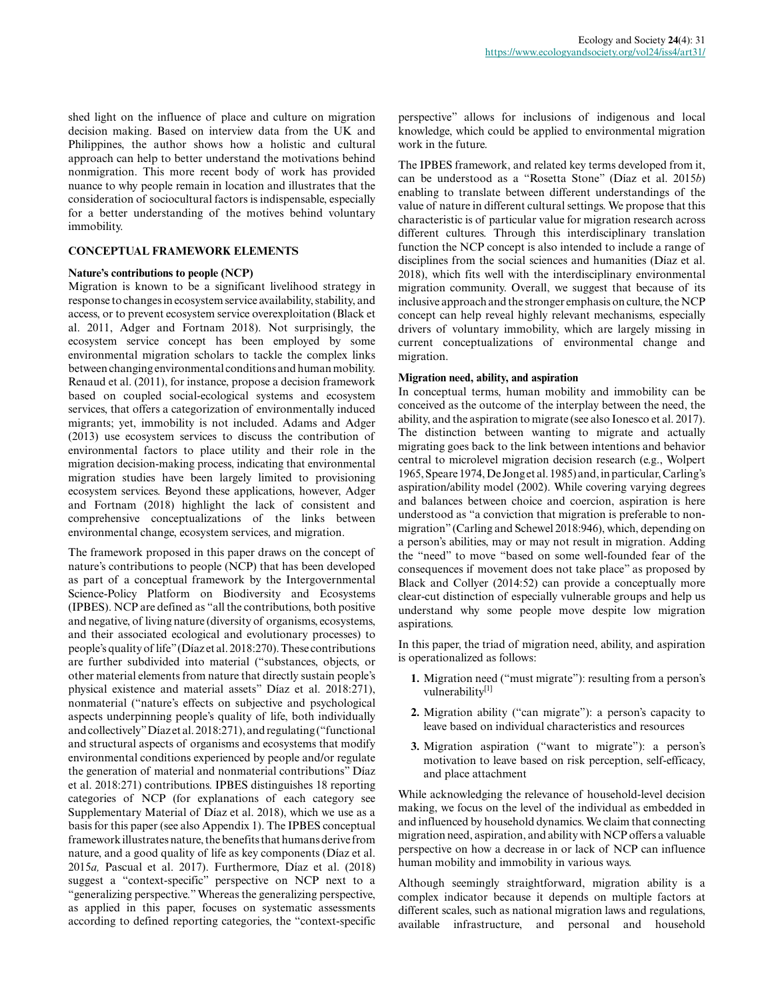shed light on the influence of place and culture on migration decision making. Based on interview data from the UK and Philippines, the author shows how a holistic and cultural approach can help to better understand the motivations behind nonmigration. This more recent body of work has provided nuance to why people remain in location and illustrates that the consideration of sociocultural factors is indispensable, especially for a better understanding of the motives behind voluntary immobility.

## **CONCEPTUAL FRAMEWORK ELEMENTS**

## **Nature's contributions to people (NCP)**

Migration is known to be a significant livelihood strategy in response to changes in ecosystem service availability, stability, and access, or to prevent ecosystem service overexploitation (Black et al. 2011, Adger and Fortnam 2018). Not surprisingly, the ecosystem service concept has been employed by some environmental migration scholars to tackle the complex links between changing environmental conditions and human mobility. Renaud et al. (2011), for instance, propose a decision framework based on coupled social-ecological systems and ecosystem services, that offers a categorization of environmentally induced migrants; yet, immobility is not included. Adams and Adger (2013) use ecosystem services to discuss the contribution of environmental factors to place utility and their role in the migration decision-making process, indicating that environmental migration studies have been largely limited to provisioning ecosystem services. Beyond these applications, however, Adger and Fortnam (2018) highlight the lack of consistent and comprehensive conceptualizations of the links between environmental change, ecosystem services, and migration.

The framework proposed in this paper draws on the concept of nature's contributions to people (NCP) that has been developed as part of a conceptual framework by the Intergovernmental Science-Policy Platform on Biodiversity and Ecosystems (IPBES). NCP are defined as "all the contributions, both positive and negative, of living nature (diversity of organisms, ecosystems, and their associated ecological and evolutionary processes) to people's quality of life" (Díaz et al. 2018:270). These contributions are further subdivided into material ("substances, objects, or other material elements from nature that directly sustain people's physical existence and material assets" Díaz et al. 2018:271), nonmaterial ("nature's effects on subjective and psychological aspects underpinning people's quality of life, both individually and collectively" Díaz et al. 2018:271), and regulating ("functional and structural aspects of organisms and ecosystems that modify environmental conditions experienced by people and/or regulate the generation of material and nonmaterial contributions" Díaz et al. 2018:271) contributions. IPBES distinguishes 18 reporting categories of NCP (for explanations of each category see Supplementary Material of Díaz et al. 2018), which we use as a basis for this paper (see also Appendix 1). The IPBES conceptual framework illustrates nature, the benefits that humans derive from nature, and a good quality of life as key components (Díaz et al. 2015*a,* Pascual et al. 2017). Furthermore, Díaz et al. (2018) suggest a "context-specific" perspective on NCP next to a "generalizing perspective." Whereas the generalizing perspective, as applied in this paper, focuses on systematic assessments according to defined reporting categories, the "context-specific

perspective" allows for inclusions of indigenous and local knowledge, which could be applied to environmental migration work in the future.

The IPBES framework, and related key terms developed from it, can be understood as a "Rosetta Stone" (Díaz et al. 2015*b*) enabling to translate between different understandings of the value of nature in different cultural settings. We propose that this characteristic is of particular value for migration research across different cultures. Through this interdisciplinary translation function the NCP concept is also intended to include a range of disciplines from the social sciences and humanities (Díaz et al. 2018), which fits well with the interdisciplinary environmental migration community. Overall, we suggest that because of its inclusive approach and the stronger emphasis on culture, the NCP concept can help reveal highly relevant mechanisms, especially drivers of voluntary immobility, which are largely missing in current conceptualizations of environmental change and migration.

## **Migration need, ability, and aspiration**

In conceptual terms, human mobility and immobility can be conceived as the outcome of the interplay between the need, the ability, and the aspiration to migrate (see also Ionesco et al. 2017). The distinction between wanting to migrate and actually migrating goes back to the link between intentions and behavior central to microlevel migration decision research (e.g., Wolpert 1965, Speare 1974, De Jong et al. 1985) and, in particular, Carling's aspiration/ability model (2002). While covering varying degrees and balances between choice and coercion, aspiration is here understood as "a conviction that migration is preferable to nonmigration" (Carling and Schewel 2018:946), which, depending on a person's abilities, may or may not result in migration. Adding the "need" to move "based on some well-founded fear of the consequences if movement does not take place" as proposed by Black and Collyer (2014:52) can provide a conceptually more clear-cut distinction of especially vulnerable groups and help us understand why some people move despite low migration aspirations.

In this paper, the triad of migration need, ability, and aspiration is operationalized as follows:

- **1.** Migration need ("must migrate"): resulting from a person's vulnerability[1]
- **2.** Migration ability ("can migrate"): a person's capacity to leave based on individual characteristics and resources
- **3.** Migration aspiration ("want to migrate"): a person's motivation to leave based on risk perception, self-efficacy, and place attachment

While acknowledging the relevance of household-level decision making, we focus on the level of the individual as embedded in and influenced by household dynamics. We claim that connecting migration need, aspiration, and ability with NCP offers a valuable perspective on how a decrease in or lack of NCP can influence human mobility and immobility in various ways.

Although seemingly straightforward, migration ability is a complex indicator because it depends on multiple factors at different scales, such as national migration laws and regulations, available infrastructure, and personal and household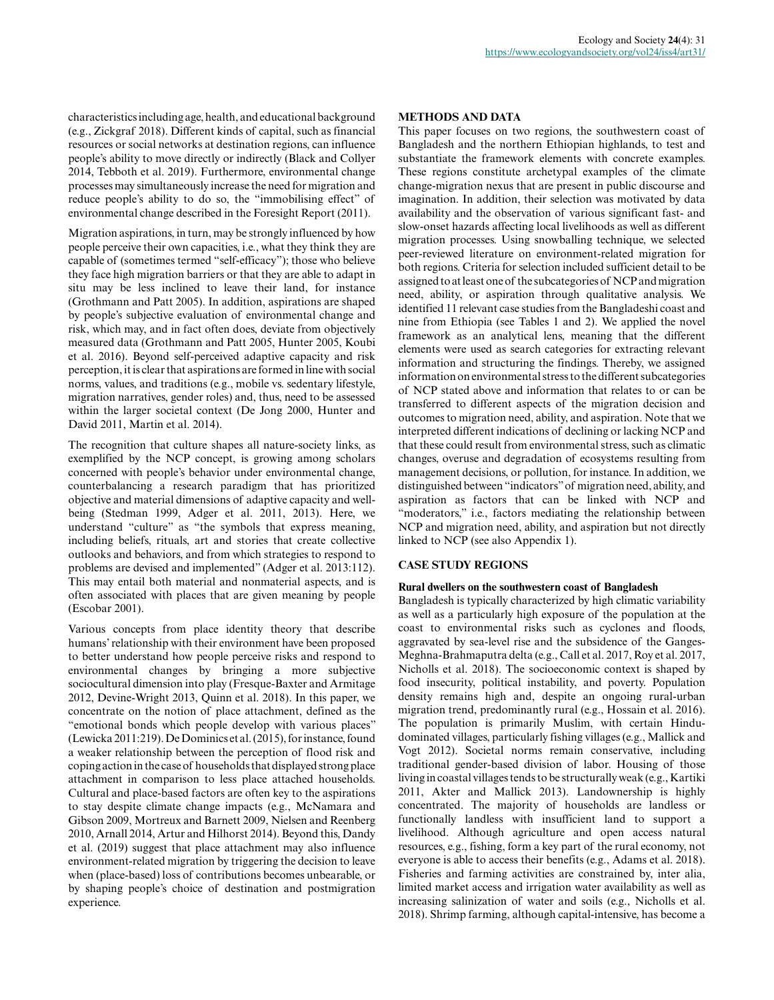characteristics including age, health, and educational background (e.g., Zickgraf 2018). Different kinds of capital, such as financial resources or social networks at destination regions, can influence people's ability to move directly or indirectly (Black and Collyer 2014, Tebboth et al. 2019). Furthermore, environmental change processes may simultaneously increase the need for migration and reduce people's ability to do so, the "immobilising effect" of environmental change described in the Foresight Report (2011).

Migration aspirations, in turn, may be strongly influenced by how people perceive their own capacities, i.e., what they think they are capable of (sometimes termed "self-efficacy"); those who believe they face high migration barriers or that they are able to adapt in situ may be less inclined to leave their land, for instance (Grothmann and Patt 2005). In addition, aspirations are shaped by people's subjective evaluation of environmental change and risk, which may, and in fact often does, deviate from objectively measured data (Grothmann and Patt 2005, Hunter 2005, Koubi et al. 2016). Beyond self-perceived adaptive capacity and risk perception, it is clear that aspirations are formed in line with social norms, values, and traditions (e.g., mobile vs. sedentary lifestyle, migration narratives, gender roles) and, thus, need to be assessed within the larger societal context (De Jong 2000, Hunter and David 2011, Martin et al. 2014).

The recognition that culture shapes all nature-society links, as exemplified by the NCP concept, is growing among scholars concerned with people's behavior under environmental change, counterbalancing a research paradigm that has prioritized objective and material dimensions of adaptive capacity and wellbeing (Stedman 1999, Adger et al. 2011, 2013). Here, we understand "culture" as "the symbols that express meaning, including beliefs, rituals, art and stories that create collective outlooks and behaviors, and from which strategies to respond to problems are devised and implemented" (Adger et al. 2013:112). This may entail both material and nonmaterial aspects, and is often associated with places that are given meaning by people (Escobar 2001).

Various concepts from place identity theory that describe humans' relationship with their environment have been proposed to better understand how people perceive risks and respond to environmental changes by bringing a more subjective sociocultural dimension into play (Fresque-Baxter and Armitage 2012, Devine-Wright 2013, Quinn et al. 2018). In this paper, we concentrate on the notion of place attachment, defined as the "emotional bonds which people develop with various places" (Lewicka 2011:219). De Dominics et al. (2015), for instance, found a weaker relationship between the perception of flood risk and coping action in the case of households that displayed strong place attachment in comparison to less place attached households. Cultural and place-based factors are often key to the aspirations to stay despite climate change impacts (e.g., McNamara and Gibson 2009, Mortreux and Barnett 2009, Nielsen and Reenberg 2010, Arnall 2014, Artur and Hilhorst 2014). Beyond this, Dandy et al. (2019) suggest that place attachment may also influence environment-related migration by triggering the decision to leave when (place-based) loss of contributions becomes unbearable, or by shaping people's choice of destination and postmigration experience.

#### **METHODS AND DATA**

This paper focuses on two regions, the southwestern coast of Bangladesh and the northern Ethiopian highlands, to test and substantiate the framework elements with concrete examples. These regions constitute archetypal examples of the climate change-migration nexus that are present in public discourse and imagination. In addition, their selection was motivated by data availability and the observation of various significant fast- and slow-onset hazards affecting local livelihoods as well as different migration processes. Using snowballing technique, we selected peer-reviewed literature on environment-related migration for both regions. Criteria for selection included sufficient detail to be assigned to at least one of the subcategories of NCP and migration need, ability, or aspiration through qualitative analysis. We identified 11 relevant case studies from the Bangladeshi coast and nine from Ethiopia (see Tables 1 and 2). We applied the novel framework as an analytical lens, meaning that the different elements were used as search categories for extracting relevant information and structuring the findings. Thereby, we assigned information on environmental stress to the different subcategories of NCP stated above and information that relates to or can be transferred to different aspects of the migration decision and outcomes to migration need, ability, and aspiration. Note that we interpreted different indications of declining or lacking NCP and that these could result from environmental stress, such as climatic changes, overuse and degradation of ecosystems resulting from management decisions, or pollution, for instance. In addition, we distinguished between "indicators" of migration need, ability, and aspiration as factors that can be linked with NCP and "moderators," i.e., factors mediating the relationship between NCP and migration need, ability, and aspiration but not directly linked to NCP (see also Appendix 1).

#### **CASE STUDY REGIONS**

## **Rural dwellers on the southwestern coast of Bangladesh**

Bangladesh is typically characterized by high climatic variability as well as a particularly high exposure of the population at the coast to environmental risks such as cyclones and floods, aggravated by sea-level rise and the subsidence of the Ganges-Meghna-Brahmaputra delta (e.g., Call et al. 2017, Roy et al. 2017, Nicholls et al. 2018). The socioeconomic context is shaped by food insecurity, political instability, and poverty. Population density remains high and, despite an ongoing rural-urban migration trend, predominantly rural (e.g., Hossain et al. 2016). The population is primarily Muslim, with certain Hindudominated villages, particularly fishing villages (e.g., Mallick and Vogt 2012). Societal norms remain conservative, including traditional gender-based division of labor. Housing of those living in coastal villages tends to be structurally weak (e.g., Kartiki 2011, Akter and Mallick 2013). Landownership is highly concentrated. The majority of households are landless or functionally landless with insufficient land to support a livelihood. Although agriculture and open access natural resources, e.g., fishing, form a key part of the rural economy, not everyone is able to access their benefits (e.g., Adams et al. 2018). Fisheries and farming activities are constrained by, inter alia, limited market access and irrigation water availability as well as increasing salinization of water and soils (e.g., Nicholls et al. 2018). Shrimp farming, although capital-intensive, has become a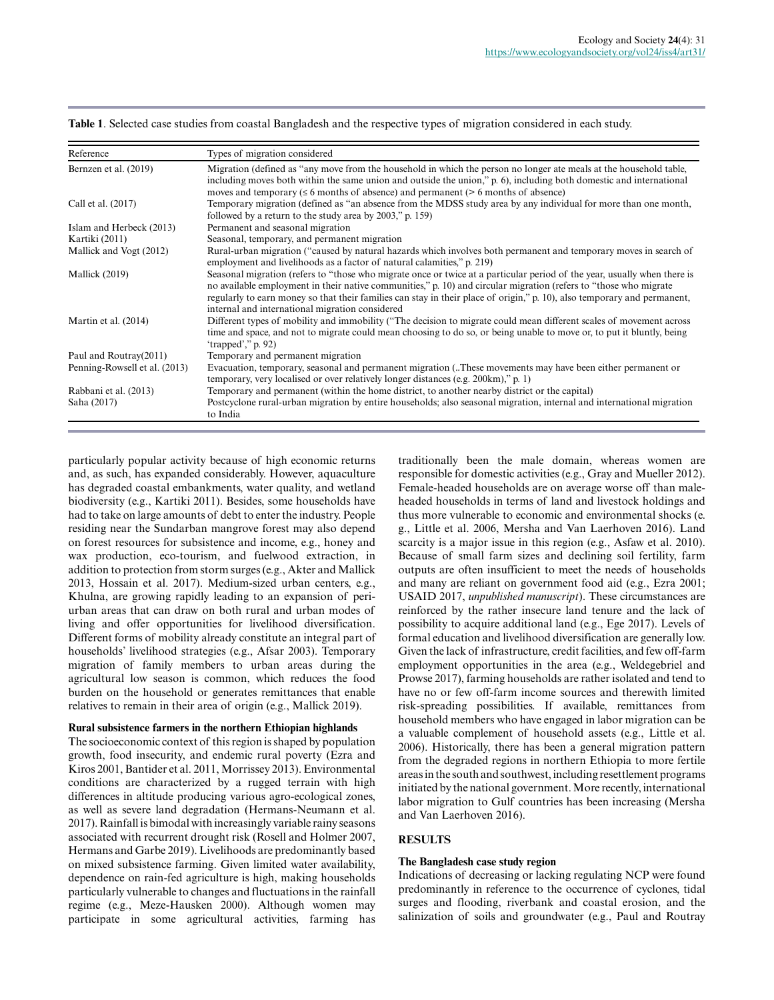| Reference                     | Types of migration considered                                                                                                                                                                                                                                                                                                                                                                                                 |  |
|-------------------------------|-------------------------------------------------------------------------------------------------------------------------------------------------------------------------------------------------------------------------------------------------------------------------------------------------------------------------------------------------------------------------------------------------------------------------------|--|
| Bernzen et al. (2019)         | Migration (defined as "any move from the household in which the person no longer ate meals at the household table,<br>including moves both within the same union and outside the union," p. 6), including both domestic and international<br>moves and temporary ( $\leq 6$ months of absence) and permanent ( $> 6$ months of absence)                                                                                       |  |
| Call et al. (2017)            | Temporary migration (defined as "an absence from the MDSS study area by any individual for more than one month,<br>followed by a return to the study area by 2003," p. 159)                                                                                                                                                                                                                                                   |  |
| Islam and Herbeck (2013)      | Permanent and seasonal migration                                                                                                                                                                                                                                                                                                                                                                                              |  |
| Kartiki (2011)                | Seasonal, temporary, and permanent migration                                                                                                                                                                                                                                                                                                                                                                                  |  |
| Mallick and Vogt (2012)       | Rural-urban migration ("caused by natural hazards which involves both permanent and temporary moves in search of<br>employment and livelihoods as a factor of natural calamities," p. 219)                                                                                                                                                                                                                                    |  |
| Mallick (2019)                | Seasonal migration (refers to "those who migrate once or twice at a particular period of the year, usually when there is<br>no available employment in their native communities," p. 10) and circular migration (refers to "those who migrate"<br>regularly to earn money so that their families can stay in their place of origin," p. 10), also temporary and permanent,<br>internal and international migration considered |  |
| Martin et al. $(2014)$        | Different types of mobility and immobility ("The decision to migrate could mean different scales of movement across<br>time and space, and not to migrate could mean choosing to do so, or being unable to move or, to put it bluntly, being<br>'trapped'," $p. 92$ )                                                                                                                                                         |  |
| Paul and Routray(2011)        | Temporary and permanent migration                                                                                                                                                                                                                                                                                                                                                                                             |  |
| Penning-Rowsell et al. (2013) | Evacuation, temporary, seasonal and permanent migration (These movements may have been either permanent or<br>temporary, very localised or over relatively longer distances (e.g. 200km)," p. 1)                                                                                                                                                                                                                              |  |
| Rabbani et al. (2013)         | Temporary and permanent (within the home district, to another nearby district or the capital)                                                                                                                                                                                                                                                                                                                                 |  |
| Saha (2017)                   | Postcyclone rural-urban migration by entire households; also seasonal migration, internal and international migration<br>to India                                                                                                                                                                                                                                                                                             |  |

**Table 1**. Selected case studies from coastal Bangladesh and the respective types of migration considered in each study.

particularly popular activity because of high economic returns and, as such, has expanded considerably. However, aquaculture has degraded coastal embankments, water quality, and wetland biodiversity (e.g., Kartiki 2011). Besides, some households have had to take on large amounts of debt to enter the industry. People residing near the Sundarban mangrove forest may also depend on forest resources for subsistence and income, e.g., honey and wax production, eco-tourism, and fuelwood extraction, in addition to protection from storm surges (e.g., Akter and Mallick 2013, Hossain et al. 2017). Medium-sized urban centers, e.g., Khulna, are growing rapidly leading to an expansion of periurban areas that can draw on both rural and urban modes of living and offer opportunities for livelihood diversification. Different forms of mobility already constitute an integral part of households' livelihood strategies (e.g., Afsar 2003). Temporary migration of family members to urban areas during the agricultural low season is common, which reduces the food burden on the household or generates remittances that enable relatives to remain in their area of origin (e.g., Mallick 2019).

#### **Rural subsistence farmers in the northern Ethiopian highlands**

The socioeconomic context of this region is shaped by population growth, food insecurity, and endemic rural poverty (Ezra and Kiros 2001, Bantider et al. 2011, Morrissey 2013). Environmental conditions are characterized by a rugged terrain with high differences in altitude producing various agro-ecological zones, as well as severe land degradation (Hermans-Neumann et al. 2017). Rainfall is bimodal with increasingly variable rainy seasons associated with recurrent drought risk (Rosell and Holmer 2007, Hermans and Garbe 2019). Livelihoods are predominantly based on mixed subsistence farming. Given limited water availability, dependence on rain-fed agriculture is high, making households particularly vulnerable to changes and fluctuations in the rainfall regime (e.g., Meze-Hausken 2000). Although women may participate in some agricultural activities, farming has traditionally been the male domain, whereas women are responsible for domestic activities (e.g., Gray and Mueller 2012). Female-headed households are on average worse off than maleheaded households in terms of land and livestock holdings and thus more vulnerable to economic and environmental shocks (e. g., Little et al. 2006, Mersha and Van Laerhoven 2016). Land scarcity is a major issue in this region (e.g., Asfaw et al. 2010). Because of small farm sizes and declining soil fertility, farm outputs are often insufficient to meet the needs of households and many are reliant on government food aid (e.g., Ezra 2001; USAID 2017, *unpublished manuscript*). These circumstances are reinforced by the rather insecure land tenure and the lack of possibility to acquire additional land (e.g., Ege 2017). Levels of formal education and livelihood diversification are generally low. Given the lack of infrastructure, credit facilities, and few off-farm employment opportunities in the area (e.g., Weldegebriel and Prowse 2017), farming households are rather isolated and tend to have no or few off-farm income sources and therewith limited risk-spreading possibilities. If available, remittances from household members who have engaged in labor migration can be a valuable complement of household assets (e.g., Little et al. 2006). Historically, there has been a general migration pattern from the degraded regions in northern Ethiopia to more fertile areas in the south and southwest, including resettlement programs initiated by the national government. More recently, international labor migration to Gulf countries has been increasing (Mersha and Van Laerhoven 2016).

#### **RESULTS**

#### **The Bangladesh case study region**

Indications of decreasing or lacking regulating NCP were found predominantly in reference to the occurrence of cyclones, tidal surges and flooding, riverbank and coastal erosion, and the salinization of soils and groundwater (e.g., Paul and Routray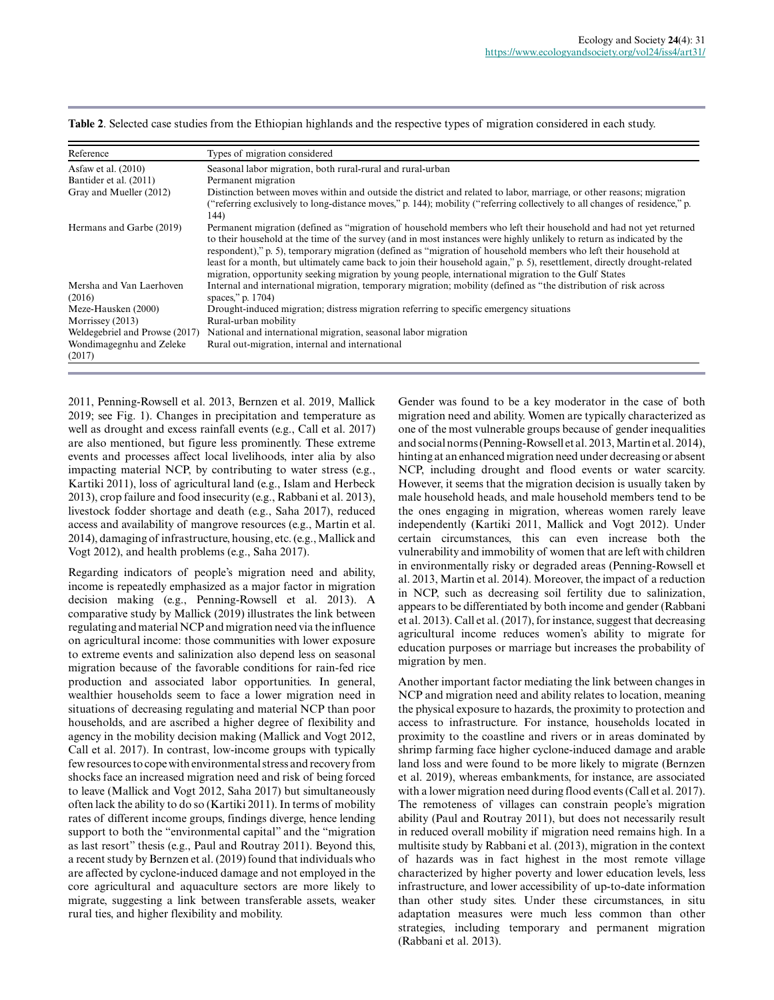| Reference                          | Types of migration considered                                                                                                                                                                                                                                                                                                                                                                                                                                                                                                                                                                        |  |
|------------------------------------|------------------------------------------------------------------------------------------------------------------------------------------------------------------------------------------------------------------------------------------------------------------------------------------------------------------------------------------------------------------------------------------------------------------------------------------------------------------------------------------------------------------------------------------------------------------------------------------------------|--|
| As faw et al. $(2010)$             | Seasonal labor migration, both rural-rural and rural-urban                                                                                                                                                                                                                                                                                                                                                                                                                                                                                                                                           |  |
| Bantider et al. (2011)             | Permanent migration                                                                                                                                                                                                                                                                                                                                                                                                                                                                                                                                                                                  |  |
| Gray and Mueller (2012)            | Distinction between moves within and outside the district and related to labor, marriage, or other reasons; migration<br>("referring exclusively to long-distance moves," p. 144); mobility ("referring collectively to all changes of residence," p.<br>144)                                                                                                                                                                                                                                                                                                                                        |  |
| Hermans and Garbe (2019)           | Permanent migration (defined as "migration of household members who left their household and had not yet returned<br>to their household at the time of the survey (and in most instances were highly unlikely to return as indicated by the<br>respondent)," p. 5), temporary migration (defined as "migration of household members who left their household at<br>least for a month, but ultimately came back to join their household again," p. 5), resettlement, directly drought-related<br>migration, opportunity seeking migration by young people, international migration to the Gulf States |  |
| Mersha and Van Laerhoven           | Internal and international migration, temporary migration; mobility (defined as "the distribution of risk across                                                                                                                                                                                                                                                                                                                                                                                                                                                                                     |  |
| (2016)                             | spaces," p. 1704)                                                                                                                                                                                                                                                                                                                                                                                                                                                                                                                                                                                    |  |
| Meze-Hausken (2000)                | Drought-induced migration; distress migration referring to specific emergency situations                                                                                                                                                                                                                                                                                                                                                                                                                                                                                                             |  |
| Morrissey (2013)                   | Rural-urban mobility                                                                                                                                                                                                                                                                                                                                                                                                                                                                                                                                                                                 |  |
| Weldegebriel and Prowse (2017)     | National and international migration, seasonal labor migration                                                                                                                                                                                                                                                                                                                                                                                                                                                                                                                                       |  |
| Wondimagegnhu and Zeleke<br>(2017) | Rural out-migration, internal and international                                                                                                                                                                                                                                                                                                                                                                                                                                                                                                                                                      |  |

**Table 2**. Selected case studies from the Ethiopian highlands and the respective types of migration considered in each study.

2011, Penning-Rowsell et al. 2013, Bernzen et al. 2019, Mallick 2019; see Fig. 1). Changes in precipitation and temperature as well as drought and excess rainfall events (e.g., Call et al. 2017) are also mentioned, but figure less prominently. These extreme events and processes affect local livelihoods, inter alia by also impacting material NCP, by contributing to water stress (e.g., Kartiki 2011), loss of agricultural land (e.g., Islam and Herbeck 2013), crop failure and food insecurity (e.g., Rabbani et al. 2013), livestock fodder shortage and death (e.g., Saha 2017), reduced access and availability of mangrove resources (e.g., Martin et al. 2014), damaging of infrastructure, housing, etc. (e.g., Mallick and Vogt 2012), and health problems (e.g., Saha 2017).

Regarding indicators of people's migration need and ability, income is repeatedly emphasized as a major factor in migration decision making (e.g., Penning-Rowsell et al. 2013). A comparative study by Mallick (2019) illustrates the link between regulating and material NCP and migration need via the influence on agricultural income: those communities with lower exposure to extreme events and salinization also depend less on seasonal migration because of the favorable conditions for rain-fed rice production and associated labor opportunities. In general, wealthier households seem to face a lower migration need in situations of decreasing regulating and material NCP than poor households, and are ascribed a higher degree of flexibility and agency in the mobility decision making (Mallick and Vogt 2012, Call et al. 2017). In contrast, low-income groups with typically few resources to cope with environmental stress and recovery from shocks face an increased migration need and risk of being forced to leave (Mallick and Vogt 2012, Saha 2017) but simultaneously often lack the ability to do so (Kartiki 2011). In terms of mobility rates of different income groups, findings diverge, hence lending support to both the "environmental capital" and the "migration as last resort" thesis (e.g., Paul and Routray 2011). Beyond this, a recent study by Bernzen et al. (2019) found that individuals who are affected by cyclone-induced damage and not employed in the core agricultural and aquaculture sectors are more likely to migrate, suggesting a link between transferable assets, weaker rural ties, and higher flexibility and mobility.

Gender was found to be a key moderator in the case of both migration need and ability. Women are typically characterized as one of the most vulnerable groups because of gender inequalities and social norms (Penning-Rowsell et al. 2013, Martin et al. 2014), hinting at an enhanced migration need under decreasing or absent NCP, including drought and flood events or water scarcity. However, it seems that the migration decision is usually taken by male household heads, and male household members tend to be the ones engaging in migration, whereas women rarely leave independently (Kartiki 2011, Mallick and Vogt 2012). Under certain circumstances, this can even increase both the vulnerability and immobility of women that are left with children in environmentally risky or degraded areas (Penning-Rowsell et al. 2013, Martin et al. 2014). Moreover, the impact of a reduction in NCP, such as decreasing soil fertility due to salinization, appears to be differentiated by both income and gender (Rabbani et al. 2013). Call et al. (2017), for instance, suggest that decreasing agricultural income reduces women's ability to migrate for education purposes or marriage but increases the probability of migration by men.

Another important factor mediating the link between changes in NCP and migration need and ability relates to location, meaning the physical exposure to hazards, the proximity to protection and access to infrastructure. For instance, households located in proximity to the coastline and rivers or in areas dominated by shrimp farming face higher cyclone-induced damage and arable land loss and were found to be more likely to migrate (Bernzen et al. 2019), whereas embankments, for instance, are associated with a lower migration need during flood events (Call et al. 2017). The remoteness of villages can constrain people's migration ability (Paul and Routray 2011), but does not necessarily result in reduced overall mobility if migration need remains high. In a multisite study by Rabbani et al. (2013), migration in the context of hazards was in fact highest in the most remote village characterized by higher poverty and lower education levels, less infrastructure, and lower accessibility of up-to-date information than other study sites. Under these circumstances, in situ adaptation measures were much less common than other strategies, including temporary and permanent migration (Rabbani et al. 2013).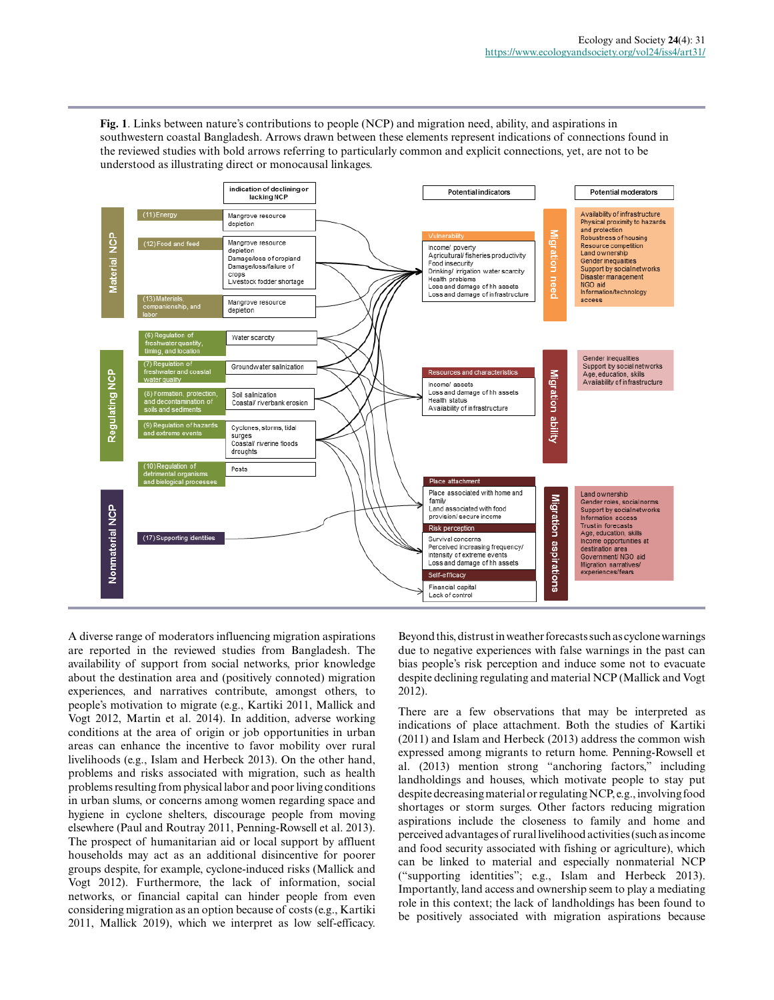**Fig. 1**. Links between nature's contributions to people (NCP) and migration need, ability, and aspirations in southwestern coastal Bangladesh. Arrows drawn between these elements represent indications of connections found in the reviewed studies with bold arrows referring to particularly common and explicit connections, yet, are not to be understood as illustrating direct or monocausal linkages.



A diverse range of moderators influencing migration aspirations are reported in the reviewed studies from Bangladesh. The availability of support from social networks, prior knowledge about the destination area and (positively connoted) migration experiences, and narratives contribute, amongst others, to people's motivation to migrate (e.g., Kartiki 2011, Mallick and Vogt 2012, Martin et al. 2014). In addition, adverse working conditions at the area of origin or job opportunities in urban areas can enhance the incentive to favor mobility over rural livelihoods (e.g., Islam and Herbeck 2013). On the other hand, problems and risks associated with migration, such as health problems resulting from physical labor and poor living conditions in urban slums, or concerns among women regarding space and hygiene in cyclone shelters, discourage people from moving elsewhere (Paul and Routray 2011, Penning-Rowsell et al. 2013). The prospect of humanitarian aid or local support by affluent households may act as an additional disincentive for poorer groups despite, for example, cyclone-induced risks (Mallick and Vogt 2012). Furthermore, the lack of information, social networks, or financial capital can hinder people from even considering migration as an option because of costs (e.g., Kartiki 2011, Mallick 2019), which we interpret as low self-efficacy.

Beyond this, distrust in weather forecasts such as cyclone warnings due to negative experiences with false warnings in the past can bias people's risk perception and induce some not to evacuate despite declining regulating and material NCP (Mallick and Vogt 2012).

There are a few observations that may be interpreted as indications of place attachment. Both the studies of Kartiki (2011) and Islam and Herbeck (2013) address the common wish expressed among migrants to return home. Penning-Rowsell et al. (2013) mention strong "anchoring factors," including landholdings and houses, which motivate people to stay put despite decreasing material or regulating NCP, e.g., involving food shortages or storm surges. Other factors reducing migration aspirations include the closeness to family and home and perceived advantages of rural livelihood activities (such as income and food security associated with fishing or agriculture), which can be linked to material and especially nonmaterial NCP ("supporting identities"; e.g., Islam and Herbeck 2013). Importantly, land access and ownership seem to play a mediating role in this context; the lack of landholdings has been found to be positively associated with migration aspirations because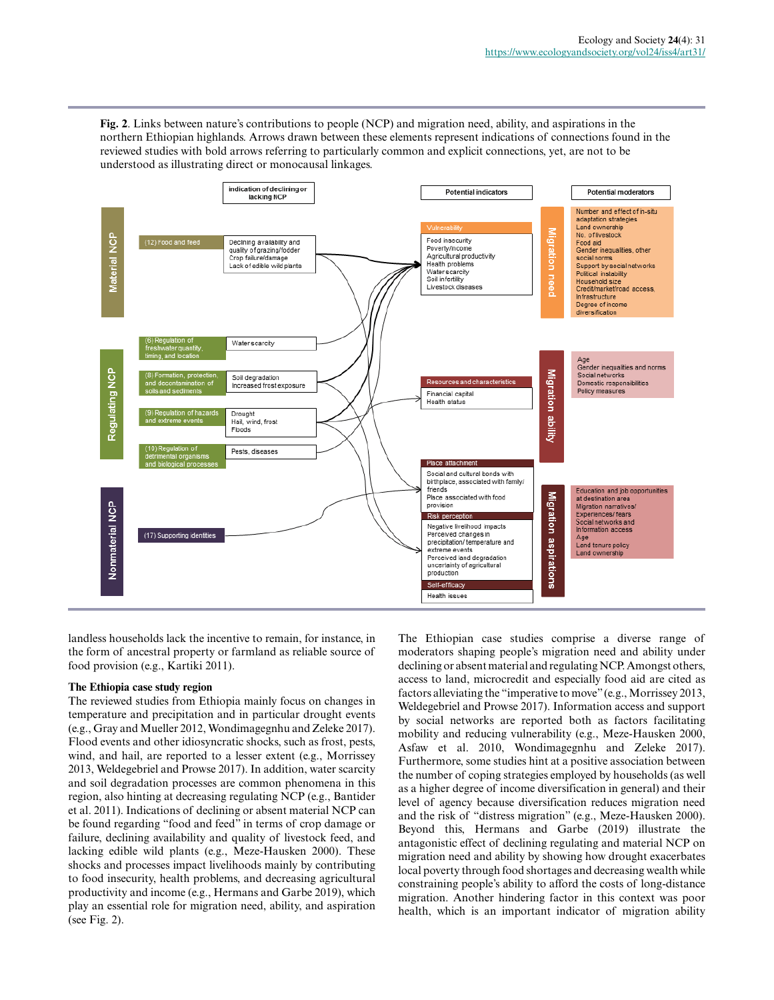**Fig. 2**. Links between nature's contributions to people (NCP) and migration need, ability, and aspirations in the northern Ethiopian highlands. Arrows drawn between these elements represent indications of connections found in the reviewed studies with bold arrows referring to particularly common and explicit connections, yet, are not to be understood as illustrating direct or monocausal linkages.



landless households lack the incentive to remain, for instance, in the form of ancestral property or farmland as reliable source of food provision (e.g., Kartiki 2011).

## **The Ethiopia case study region**

The reviewed studies from Ethiopia mainly focus on changes in temperature and precipitation and in particular drought events (e.g., Gray and Mueller 2012, Wondimagegnhu and Zeleke 2017). Flood events and other idiosyncratic shocks, such as frost, pests, wind, and hail, are reported to a lesser extent (e.g., Morrissey 2013, Weldegebriel and Prowse 2017). In addition, water scarcity and soil degradation processes are common phenomena in this region, also hinting at decreasing regulating NCP (e.g., Bantider et al. 2011). Indications of declining or absent material NCP can be found regarding "food and feed" in terms of crop damage or failure, declining availability and quality of livestock feed, and lacking edible wild plants (e.g., Meze-Hausken 2000). These shocks and processes impact livelihoods mainly by contributing to food insecurity, health problems, and decreasing agricultural productivity and income (e.g., Hermans and Garbe 2019), which play an essential role for migration need, ability, and aspiration (see Fig. 2).

The Ethiopian case studies comprise a diverse range of moderators shaping people's migration need and ability under declining or absent material and regulating NCP. Amongst others, access to land, microcredit and especially food aid are cited as factors alleviating the "imperative to move" (e.g., Morrissey 2013, Weldegebriel and Prowse 2017). Information access and support by social networks are reported both as factors facilitating mobility and reducing vulnerability (e.g., Meze-Hausken 2000, Asfaw et al. 2010, Wondimagegnhu and Zeleke 2017). Furthermore, some studies hint at a positive association between the number of coping strategies employed by households (as well as a higher degree of income diversification in general) and their level of agency because diversification reduces migration need and the risk of "distress migration" (e.g., Meze-Hausken 2000). Beyond this, Hermans and Garbe (2019) illustrate the antagonistic effect of declining regulating and material NCP on migration need and ability by showing how drought exacerbates local poverty through food shortages and decreasing wealth while constraining people's ability to afford the costs of long-distance migration. Another hindering factor in this context was poor health, which is an important indicator of migration ability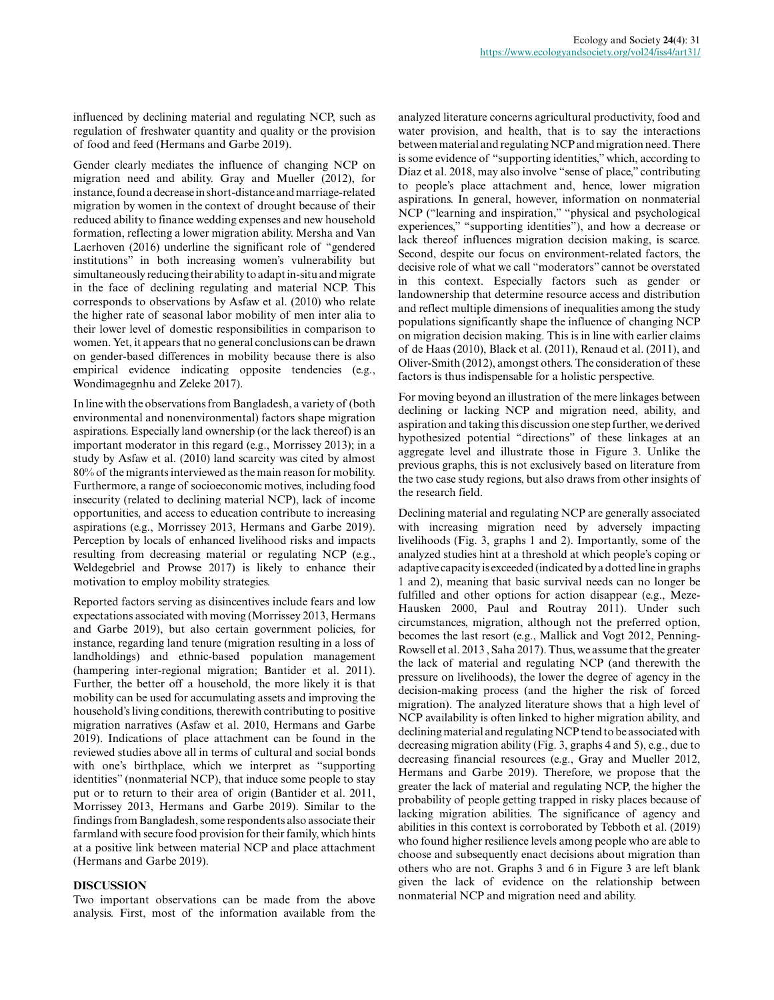influenced by declining material and regulating NCP, such as regulation of freshwater quantity and quality or the provision of food and feed (Hermans and Garbe 2019).

Gender clearly mediates the influence of changing NCP on migration need and ability. Gray and Mueller (2012), for instance, found a decrease in short-distance and marriage-related migration by women in the context of drought because of their reduced ability to finance wedding expenses and new household formation, reflecting a lower migration ability. Mersha and Van Laerhoven (2016) underline the significant role of "gendered institutions" in both increasing women's vulnerability but simultaneously reducing their ability to adapt in-situ and migrate in the face of declining regulating and material NCP. This corresponds to observations by Asfaw et al. (2010) who relate the higher rate of seasonal labor mobility of men inter alia to their lower level of domestic responsibilities in comparison to women. Yet, it appears that no general conclusions can be drawn on gender-based differences in mobility because there is also empirical evidence indicating opposite tendencies (e.g., Wondimagegnhu and Zeleke 2017).

In line with the observations from Bangladesh, a variety of (both environmental and nonenvironmental) factors shape migration aspirations. Especially land ownership (or the lack thereof) is an important moderator in this regard (e.g., Morrissey 2013); in a study by Asfaw et al. (2010) land scarcity was cited by almost 80% of the migrants interviewed as the main reason for mobility. Furthermore, a range of socioeconomic motives, including food insecurity (related to declining material NCP), lack of income opportunities, and access to education contribute to increasing aspirations (e.g., Morrissey 2013, Hermans and Garbe 2019). Perception by locals of enhanced livelihood risks and impacts resulting from decreasing material or regulating NCP (e.g., Weldegebriel and Prowse 2017) is likely to enhance their motivation to employ mobility strategies.

Reported factors serving as disincentives include fears and low expectations associated with moving (Morrissey 2013, Hermans and Garbe 2019), but also certain government policies, for instance, regarding land tenure (migration resulting in a loss of landholdings) and ethnic-based population management (hampering inter-regional migration; Bantider et al. 2011). Further, the better off a household, the more likely it is that mobility can be used for accumulating assets and improving the household's living conditions, therewith contributing to positive migration narratives (Asfaw et al. 2010, Hermans and Garbe 2019). Indications of place attachment can be found in the reviewed studies above all in terms of cultural and social bonds with one's birthplace, which we interpret as "supporting identities" (nonmaterial NCP), that induce some people to stay put or to return to their area of origin (Bantider et al. 2011, Morrissey 2013, Hermans and Garbe 2019). Similar to the findings from Bangladesh, some respondents also associate their farmland with secure food provision for their family, which hints at a positive link between material NCP and place attachment (Hermans and Garbe 2019).

## **DISCUSSION**

Two important observations can be made from the above analysis. First, most of the information available from the analyzed literature concerns agricultural productivity, food and water provision, and health, that is to say the interactions between material and regulating NCP and migration need. There is some evidence of "supporting identities," which, according to Díaz et al. 2018, may also involve "sense of place," contributing to people's place attachment and, hence, lower migration aspirations. In general, however, information on nonmaterial NCP ("learning and inspiration," "physical and psychological experiences," "supporting identities"), and how a decrease or lack thereof influences migration decision making, is scarce. Second, despite our focus on environment-related factors, the decisive role of what we call "moderators" cannot be overstated in this context. Especially factors such as gender or landownership that determine resource access and distribution and reflect multiple dimensions of inequalities among the study populations significantly shape the influence of changing NCP on migration decision making. This is in line with earlier claims of de Haas (2010), Black et al. (2011), Renaud et al. (2011), and Oliver-Smith (2012), amongst others. The consideration of these factors is thus indispensable for a holistic perspective.

For moving beyond an illustration of the mere linkages between declining or lacking NCP and migration need, ability, and aspiration and taking this discussion one step further, we derived hypothesized potential "directions" of these linkages at an aggregate level and illustrate those in Figure 3. Unlike the previous graphs, this is not exclusively based on literature from the two case study regions, but also draws from other insights of the research field.

Declining material and regulating NCP are generally associated with increasing migration need by adversely impacting livelihoods (Fig. 3, graphs 1 and 2). Importantly, some of the analyzed studies hint at a threshold at which people's coping or adaptive capacity is exceeded (indicated by a dotted line in graphs 1 and 2), meaning that basic survival needs can no longer be fulfilled and other options for action disappear (e.g., Meze-Hausken 2000, Paul and Routray 2011). Under such circumstances, migration, although not the preferred option, becomes the last resort (e.g., Mallick and Vogt 2012, Penning-Rowsell et al. 2013 , Saha 2017). Thus, we assume that the greater the lack of material and regulating NCP (and therewith the pressure on livelihoods), the lower the degree of agency in the decision-making process (and the higher the risk of forced migration). The analyzed literature shows that a high level of NCP availability is often linked to higher migration ability, and declining material and regulating NCP tend to be associated with decreasing migration ability (Fig. 3, graphs 4 and 5), e.g., due to decreasing financial resources (e.g., Gray and Mueller 2012, Hermans and Garbe 2019). Therefore, we propose that the greater the lack of material and regulating NCP, the higher the probability of people getting trapped in risky places because of lacking migration abilities. The significance of agency and abilities in this context is corroborated by Tebboth et al. (2019) who found higher resilience levels among people who are able to choose and subsequently enact decisions about migration than others who are not. Graphs 3 and 6 in Figure 3 are left blank given the lack of evidence on the relationship between nonmaterial NCP and migration need and ability.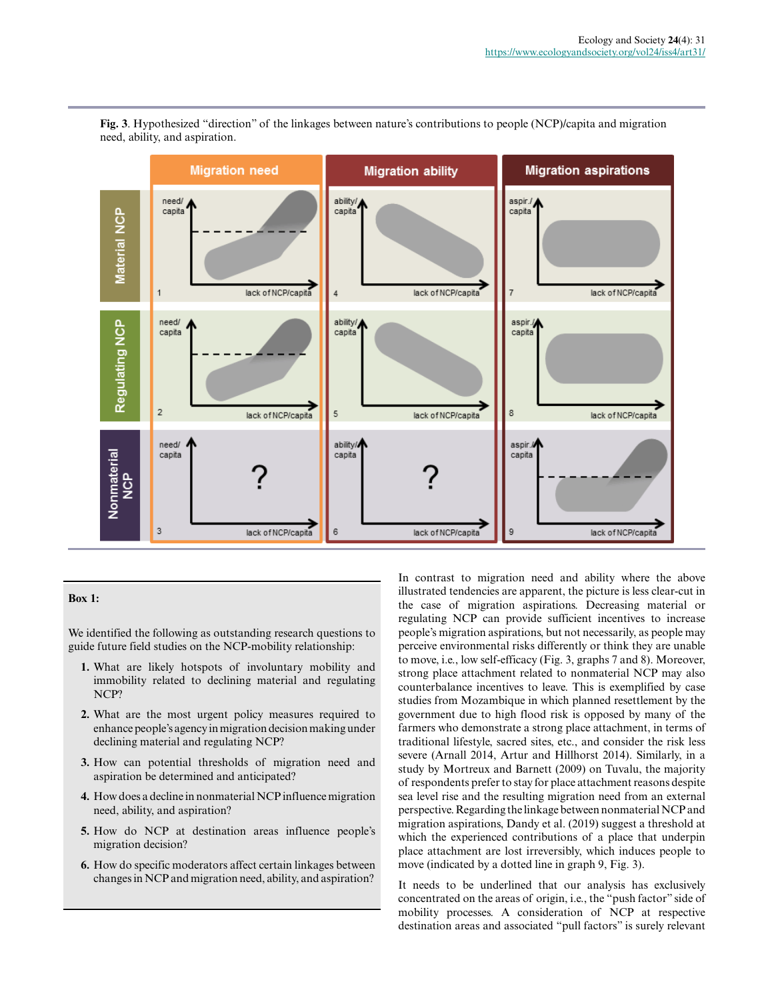

**Fig. 3**. Hypothesized "direction" of the linkages between nature's contributions to people (NCP)/capita and migration need, ability, and aspiration.

#### **Box 1:**

We identified the following as outstanding research questions to guide future field studies on the NCP-mobility relationship:

- **1.** What are likely hotspots of involuntary mobility and immobility related to declining material and regulating NCP?
- **2.** What are the most urgent policy measures required to enhance people's agency in migration decision making under declining material and regulating NCP?
- **3.** How can potential thresholds of migration need and aspiration be determined and anticipated?
- **4.** How does a decline in nonmaterial NCP influence migration need, ability, and aspiration?
- **5.** How do NCP at destination areas influence people's migration decision?
- **6.** How do specific moderators affect certain linkages between changes in NCP and migration need, ability, and aspiration?

In contrast to migration need and ability where the above illustrated tendencies are apparent, the picture is less clear-cut in the case of migration aspirations. Decreasing material or regulating NCP can provide sufficient incentives to increase people's migration aspirations, but not necessarily, as people may perceive environmental risks differently or think they are unable to move, i.e., low self-efficacy (Fig. 3, graphs 7 and 8). Moreover, strong place attachment related to nonmaterial NCP may also counterbalance incentives to leave. This is exemplified by case studies from Mozambique in which planned resettlement by the government due to high flood risk is opposed by many of the farmers who demonstrate a strong place attachment, in terms of traditional lifestyle, sacred sites, etc., and consider the risk less severe (Arnall 2014, Artur and Hillhorst 2014). Similarly, in a study by Mortreux and Barnett (2009) on Tuvalu, the majority of respondents prefer to stay for place attachment reasons despite sea level rise and the resulting migration need from an external perspective. Regarding the linkage between nonmaterial NCP and migration aspirations, Dandy et al. (2019) suggest a threshold at which the experienced contributions of a place that underpin place attachment are lost irreversibly, which induces people to move (indicated by a dotted line in graph 9, Fig. 3).

It needs to be underlined that our analysis has exclusively concentrated on the areas of origin, i.e., the "push factor" side of mobility processes. A consideration of NCP at respective destination areas and associated "pull factors" is surely relevant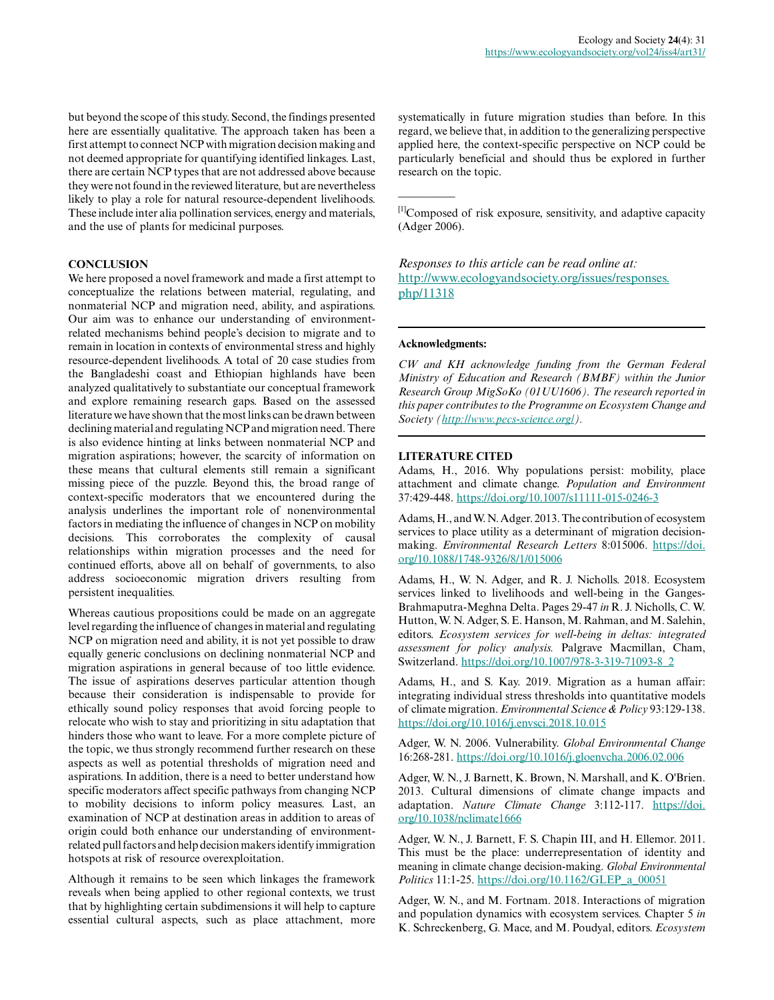but beyond the scope of this study. Second, the findings presented here are essentially qualitative. The approach taken has been a first attempt to connect NCP with migration decision making and not deemed appropriate for quantifying identified linkages. Last, there are certain NCP types that are not addressed above because they were not found in the reviewed literature, but are nevertheless likely to play a role for natural resource-dependent livelihoods. These include inter alia pollination services, energy and materials, and the use of plants for medicinal purposes.

#### **CONCLUSION**

We here proposed a novel framework and made a first attempt to conceptualize the relations between material, regulating, and nonmaterial NCP and migration need, ability, and aspirations. Our aim was to enhance our understanding of environmentrelated mechanisms behind people's decision to migrate and to remain in location in contexts of environmental stress and highly resource-dependent livelihoods. A total of 20 case studies from the Bangladeshi coast and Ethiopian highlands have been analyzed qualitatively to substantiate our conceptual framework and explore remaining research gaps. Based on the assessed literature we have shown that the most links can be drawn between declining material and regulating NCP and migration need. There is also evidence hinting at links between nonmaterial NCP and migration aspirations; however, the scarcity of information on these means that cultural elements still remain a significant missing piece of the puzzle. Beyond this, the broad range of context-specific moderators that we encountered during the analysis underlines the important role of nonenvironmental factors in mediating the influence of changes in NCP on mobility decisions. This corroborates the complexity of causal relationships within migration processes and the need for continued efforts, above all on behalf of governments, to also address socioeconomic migration drivers resulting from persistent inequalities.

Whereas cautious propositions could be made on an aggregate level regarding the influence of changes in material and regulating NCP on migration need and ability, it is not yet possible to draw equally generic conclusions on declining nonmaterial NCP and migration aspirations in general because of too little evidence. The issue of aspirations deserves particular attention though because their consideration is indispensable to provide for ethically sound policy responses that avoid forcing people to relocate who wish to stay and prioritizing in situ adaptation that hinders those who want to leave. For a more complete picture of the topic, we thus strongly recommend further research on these aspects as well as potential thresholds of migration need and aspirations. In addition, there is a need to better understand how specific moderators affect specific pathways from changing NCP to mobility decisions to inform policy measures. Last, an examination of NCP at destination areas in addition to areas of origin could both enhance our understanding of environmentrelated pull factors and help decision makers identify immigration hotspots at risk of resource overexploitation.

Although it remains to be seen which linkages the framework reveals when being applied to other regional contexts, we trust that by highlighting certain subdimensions it will help to capture essential cultural aspects, such as place attachment, more systematically in future migration studies than before. In this regard, we believe that, in addition to the generalizing perspective applied here, the context-specific perspective on NCP could be particularly beneficial and should thus be explored in further research on the topic.

[1]Composed of risk exposure, sensitivity, and adaptive capacity (Adger 2006).

## *Responses to this article can be read online at:* [http://www.ecologyandsociety.org/issues/responses.](http://www.ecologyandsociety.org/issues/responses.php/11318) [php/11318](http://www.ecologyandsociety.org/issues/responses.php/11318)

#### **Acknowledgments:**

 $\overline{\phantom{a}}$ 

*CW and KH acknowledge funding from the German Federal Ministry of Education and Research (BMBF) within the Junior Research Group MigSoKo (01UU1606). The research reported in this paper contributes to the Programme on Ecosystem Change and Society (<http://www.pecs-science.org/>).*

#### **LITERATURE CITED**

Adams, H., 2016. Why populations persist: mobility, place attachment and climate change. *Population and Environment* 37:429-448.<https://doi.org/10.1007/s11111-015-0246-3>

Adams, H., and W. N. Adger. 2013. The contribution of ecosystem services to place utility as a determinant of migration decisionmaking. *Environmental Research Letters* 8:015006. [https://doi.](https://doi.org/10.1088/1748-9326/8/1/015006) [org/10.1088/1748-9326/8/1/015006](https://doi.org/10.1088/1748-9326/8/1/015006) 

Adams, H., W. N. Adger, and R. J. Nicholls. 2018. Ecosystem services linked to livelihoods and well-being in the Ganges-Brahmaputra-Meghna Delta. Pages 29-47 *in* R. J. Nicholls, C. W. Hutton, W. N. Adger, S. E. Hanson, M. Rahman, and M. Salehin, editors. *Ecosystem services for well-being in deltas: integrated assessment for policy analysis.* Palgrave Macmillan, Cham, Switzerland. [https://doi.org/10.1007/978-3-319-71093-8\\_2](https://doi.org/10.1007/978-3-319-71093-8_2)

Adams, H., and S. Kay. 2019. Migration as a human affair: integrating individual stress thresholds into quantitative models of climate migration. *Environmental Science & Policy* 93:129-138. <https://doi.org/10.1016/j.envsci.2018.10.015>

Adger, W. N. 2006. Vulnerability. *Global Environmental Change* 16:268-281.<https://doi.org/10.1016/j.gloenvcha.2006.02.006>

Adger, W. N., J. Barnett, K. Brown, N. Marshall, and K. O'Brien. 2013. Cultural dimensions of climate change impacts and adaptation. *Nature Climate Change* 3:112-117. [https://doi.](https://doi.org/10.1038/nclimate1666) [org/10.1038/nclimate1666](https://doi.org/10.1038/nclimate1666) 

Adger, W. N., J. Barnett, F. S. Chapin III, and H. Ellemor. 2011. This must be the place: underrepresentation of identity and meaning in climate change decision-making. *Global Environmental Politics* 11:1-25. [https://doi.org/10.1162/GLEP\\_a\\_00051](https://doi.org/10.1162/GLEP_a_00051)

Adger, W. N., and M. Fortnam. 2018. Interactions of migration and population dynamics with ecosystem services. Chapter 5 *in* K. Schreckenberg, G. Mace, and M. Poudyal, editors. *Ecosystem*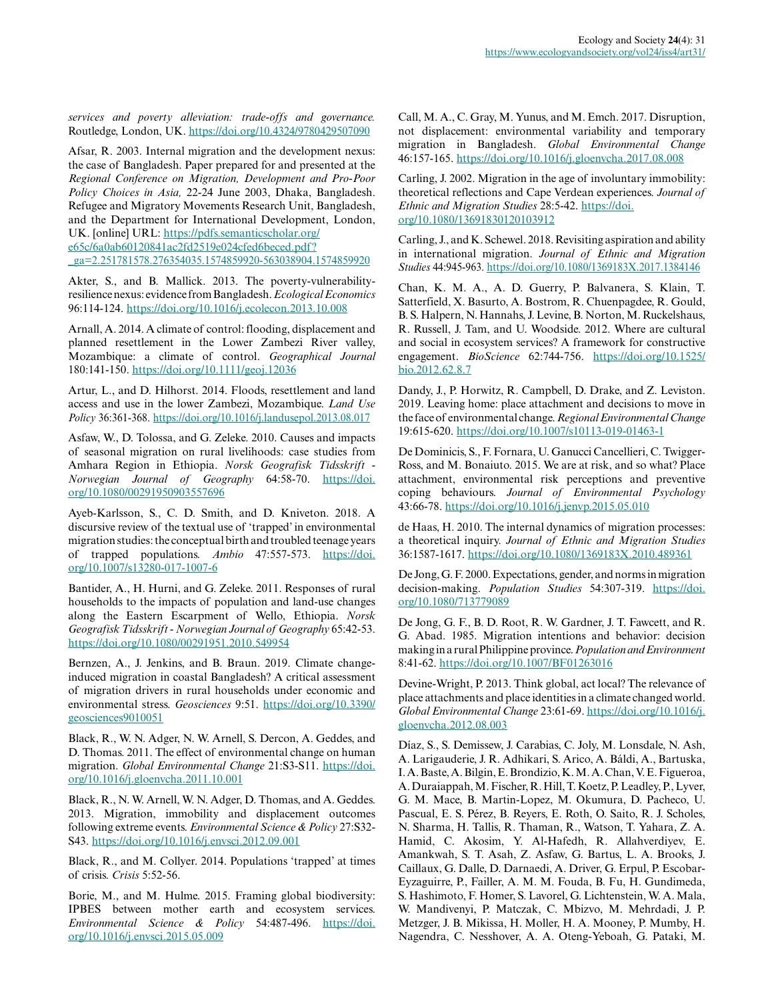*services and poverty alleviation: trade-offs and governance.* Routledge, London, UK.<https://doi.org/10.4324/9780429507090>

Afsar, R. 2003. Internal migration and the development nexus: the case of Bangladesh. Paper prepared for and presented at the *Regional Conference on Migration, Development and Pro-Poor Policy Choices in Asia,* 22-24 June 2003, Dhaka, Bangladesh. Refugee and Migratory Movements Research Unit, Bangladesh, and the Department for International Development, London, UK. [online] URL: [https://pdfs.semanticscholar.org/](https://pdfs.semanticscholar.org/e65c/6a0ab60120841ac2fd2519e024cfed6beced.pdf?_ga=2.251781578.276354035.1574859920-563038904.1574859920) [e65c/6a0ab60120841ac2fd2519e024cfed6beced.pdf?](https://pdfs.semanticscholar.org/e65c/6a0ab60120841ac2fd2519e024cfed6beced.pdf?_ga=2.251781578.276354035.1574859920-563038904.1574859920)

[\\_ga=2.251781578.276354035.1574859920-563038904.1574859920](https://pdfs.semanticscholar.org/e65c/6a0ab60120841ac2fd2519e024cfed6beced.pdf?_ga=2.251781578.276354035.1574859920-563038904.1574859920) 

Akter, S., and B. Mallick. 2013. The poverty-vulnerabilityresilience nexus: evidence from Bangladesh. *Ecological Economics* 96:114-124.<https://doi.org/10.1016/j.ecolecon.2013.10.008>

Arnall, A. 2014. A climate of control: flooding, displacement and planned resettlement in the Lower Zambezi River valley, Mozambique: a climate of control. *Geographical Journal* 180:141-150. <https://doi.org/10.1111/geoj.12036>

Artur, L., and D. Hilhorst. 2014. Floods, resettlement and land access and use in the lower Zambezi, Mozambique. *Land Use Policy* 36:361-368.<https://doi.org/10.1016/j.landusepol.2013.08.017>

Asfaw, W., D. Tolossa, and G. Zeleke. 2010. Causes and impacts of seasonal migration on rural livelihoods: case studies from Amhara Region in Ethiopia. *Norsk Geografisk Tidsskrift - Norwegian Journal of Geography* 64:58-70. [https://doi.](https://doi.org/10.1080/00291950903557696) [org/10.1080/00291950903557696](https://doi.org/10.1080/00291950903557696) 

Ayeb-Karlsson, S., C. D. Smith, and D. Kniveton. 2018. A discursive review of the textual use of 'trapped' in environmental migration studies: the conceptual birth and troubled teenage years of trapped populations. *Ambio* 47:557-573. [https://doi.](https://doi.org/10.1007/s13280-017-1007-6) [org/10.1007/s13280-017-1007-6](https://doi.org/10.1007/s13280-017-1007-6)

Bantider, A., H. Hurni, and G. Zeleke. 2011. Responses of rural households to the impacts of population and land-use changes along the Eastern Escarpment of Wello, Ethiopia. *Norsk Geografisk Tidsskrift - Norwegian Journal of Geography* 65:42-53. <https://doi.org/10.1080/00291951.2010.549954>

Bernzen, A., J. Jenkins, and B. Braun. 2019. Climate changeinduced migration in coastal Bangladesh? A critical assessment of migration drivers in rural households under economic and environmental stress. *Geosciences* 9:51. [https://doi.org/10.3390/](https://doi.org/10.3390/geosciences9010051) [geosciences9010051](https://doi.org/10.3390/geosciences9010051)

Black, R., W. N. Adger, N. W. Arnell, S. Dercon, A. Geddes, and D. Thomas. 2011. The effect of environmental change on human migration. *Global Environmental Change* 21:S3-S11. [https://doi.](https://doi.org/10.1016/j.gloenvcha.2011.10.001) [org/10.1016/j.gloenvcha.2011.10.001](https://doi.org/10.1016/j.gloenvcha.2011.10.001)

Black, R., N. W. Arnell, W. N. Adger, D. Thomas, and A. Geddes. 2013. Migration, immobility and displacement outcomes following extreme events. *Environmental Science & Policy* 27:S32- S43. <https://doi.org/10.1016/j.envsci.2012.09.001>

Black, R., and M. Collyer. 2014. Populations 'trapped' at times of crisis. *Crisis* 5:52-56.

Borie, M., and M. Hulme. 2015. Framing global biodiversity: IPBES between mother earth and ecosystem services. *Environmental Science & Policy* 54:487-496. [https://doi.](https://doi.org/10.1016/j.envsci.2015.05.009) [org/10.1016/j.envsci.2015.05.009](https://doi.org/10.1016/j.envsci.2015.05.009) 

Call, M. A., C. Gray, M. Yunus, and M. Emch. 2017. Disruption, not displacement: environmental variability and temporary migration in Bangladesh. *Global Environmental Change* 46:157-165.<https://doi.org/10.1016/j.gloenvcha.2017.08.008>

Carling, J. 2002. Migration in the age of involuntary immobility: theoretical reflections and Cape Verdean experiences. *Journal of Ethnic and Migration Studies* 28:5-42. [https://doi.](https://doi.org/10.1080/13691830120103912) [org/10.1080/13691830120103912](https://doi.org/10.1080/13691830120103912) 

Carling, J., and K. Schewel. 2018. Revisiting aspiration and ability in international migration. *Journal of Ethnic and Migration Studies* 44:945-963.<https://doi.org/10.1080/1369183X.2017.1384146>

Chan, K. M. A., A. D. Guerry, P. Balvanera, S. Klain, T. Satterfield, X. Basurto, A. Bostrom, R. Chuenpagdee, R. Gould, B. S. Halpern, N. Hannahs, J. Levine, B. Norton, M. Ruckelshaus, R. Russell, J. Tam, and U. Woodside. 2012. Where are cultural and social in ecosystem services? A framework for constructive engagement. *BioScience* 62:744-756. [https://doi.org/10.1525/](https://doi.org/10.1525/bio.2012.62.8.7) [bio.2012.62.8.7](https://doi.org/10.1525/bio.2012.62.8.7) 

Dandy, J., P. Horwitz, R. Campbell, D. Drake, and Z. Leviston. 2019. Leaving home: place attachment and decisions to move in the face of environmental change. *Regional Environmental Change* 19:615-620.<https://doi.org/10.1007/s10113-019-01463-1>

De Dominicis, S., F. Fornara, U. Ganucci Cancellieri, C. Twigger-Ross, and M. Bonaiuto. 2015. We are at risk, and so what? Place attachment, environmental risk perceptions and preventive coping behaviours. *Journal of Environmental Psychology* 43:66-78.<https://doi.org/10.1016/j.jenvp.2015.05.010>

de Haas, H. 2010. The internal dynamics of migration processes: a theoretical inquiry. *Journal of Ethnic and Migration Studies* 36:1587-1617.<https://doi.org/10.1080/1369183X.2010.489361>

De Jong, G. F. 2000. Expectations, gender, and norms in migration decision-making. *Population Studies* 54:307-319. [https://doi.](https://doi.org/10.1080/713779089) [org/10.1080/713779089](https://doi.org/10.1080/713779089) 

De Jong, G. F., B. D. Root, R. W. Gardner, J. T. Fawcett, and R. G. Abad. 1985. Migration intentions and behavior: decision making in a rural Philippine province. *Population and Environment* 8:41-62. <https://doi.org/10.1007/BF01263016>

Devine-Wright, P. 2013. Think global, act local? The relevance of place attachments and place identities in a climate changed world. *Global Environmental Change* 23:61-69. [https://doi.org/10.1016/j.](https://doi.org/10.1016/j.gloenvcha.2012.08.003) [gloenvcha.2012.08.003](https://doi.org/10.1016/j.gloenvcha.2012.08.003)

Díaz, S., S. Demissew, J. Carabias, C. Joly, M. Lonsdale, N. Ash, A. Larigauderie, J. R. Adhikari, S. Arico, A. Báldi, A., Bartuska, I. A. Baste, A. Bilgin, E. Brondizio, K. M. A. Chan, V. E. Figueroa, A. Duraiappah, M. Fischer, R. Hill, T. Koetz, P. Leadley, P., Lyver, G. M. Mace, B. Martin-Lopez, M. Okumura, D. Pacheco, U. Pascual, E. S. Pérez, B. Reyers, E. Roth, O. Saito, R. J. Scholes, N. Sharma, H. Tallis, R. Thaman, R., Watson, T. Yahara, Z. A. Hamid, C. Akosim, Y. Al-Hafedh, R. Allahverdiyev, E. Amankwah, S. T. Asah, Z. Asfaw, G. Bartus, L. A. Brooks, J. Caillaux, G. Dalle, D. Darnaedi, A. Driver, G. Erpul, P. Escobar-Eyzaguirre, P., Failler, A. M. M. Fouda, B. Fu, H. Gundimeda, S. Hashimoto, F. Homer, S. Lavorel, G. Lichtenstein, W. A. Mala, W. Mandivenyi, P. Matczak, C. Mbizvo, M. Mehrdadi, J. P. Metzger, J. B. Mikissa, H. Moller, H. A. Mooney, P. Mumby, H. Nagendra, C. Nesshover, A. A. Oteng-Yeboah, G. Pataki, M.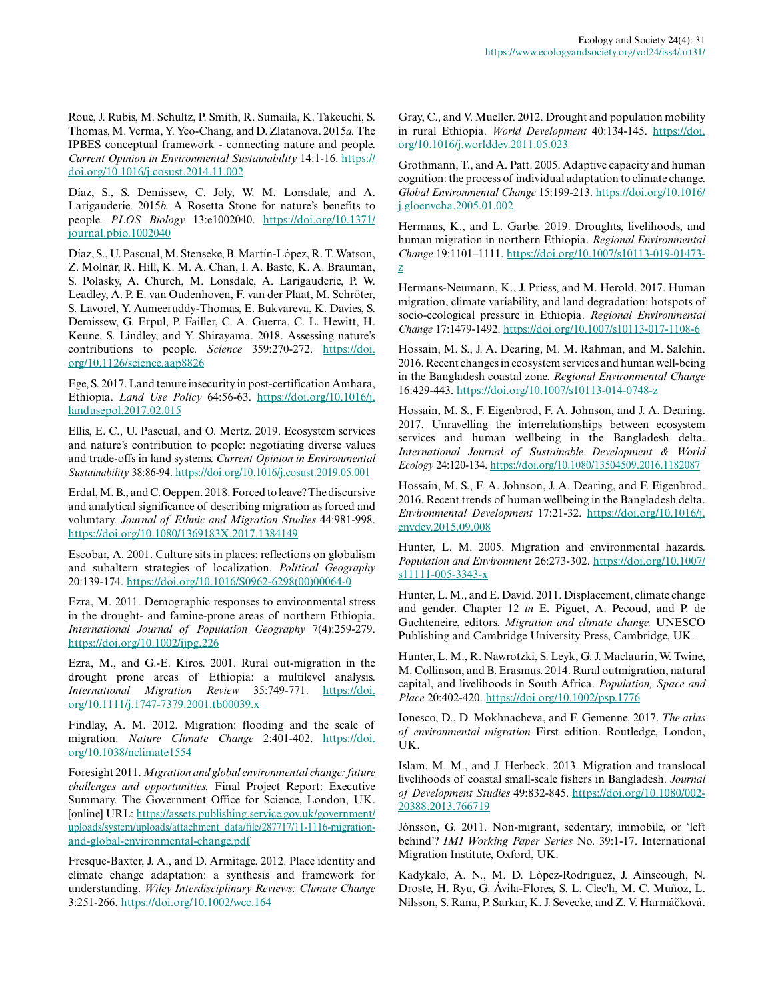Roué, J. Rubis, M. Schultz, P. Smith, R. Sumaila, K. Takeuchi, S. Thomas, M. Verma, Y. Yeo-Chang, and D. Zlatanova. 2015*a.* The IPBES conceptual framework - connecting nature and people. *Current Opinion in Environmental Sustainability* 14:1-16. [https://](https://doi.org/10.1016/j.cosust.2014.11.002) [doi.org/10.1016/j.cosust.2014.11.002](https://doi.org/10.1016/j.cosust.2014.11.002) 

Díaz, S., S. Demissew, C. Joly, W. M. Lonsdale, and A. Larigauderie. 2015*b.* A Rosetta Stone for nature's benefits to people. *PLOS Biology* 13:e1002040. [https://doi.org/10.1371/](https://doi.org/10.1371/journal.pbio.1002040) [journal.pbio.1002040](https://doi.org/10.1371/journal.pbio.1002040)

Díaz, S., U. Pascual, M. Stenseke, B. Martín-López, R. T. Watson, Z. Molnár, R. Hill, K. M. A. Chan, I. A. Baste, K. A. Brauman, S. Polasky, A. Church, M. Lonsdale, A. Larigauderie, P. W. Leadley, A. P. E. van Oudenhoven, F. van der Plaat, M. Schröter, S. Lavorel, Y. Aumeeruddy-Thomas, E. Bukvareva, K. Davies, S. Demissew, G. Erpul, P. Failler, C. A. Guerra, C. L. Hewitt, H. Keune, S. Lindley, and Y. Shirayama. 2018. Assessing nature's contributions to people. *Science* 359:270-272. [https://doi.](https://doi.org/10.1126/science.aap8826) [org/10.1126/science.aap8826](https://doi.org/10.1126/science.aap8826) 

Ege, S. 2017. Land tenure insecurity in post-certification Amhara, Ethiopia. *Land Use Policy* 64:56-63. [https://doi.org/10.1016/j.](https://doi.org/10.1016/j.landusepol.2017.02.015) [landusepol.2017.02.015](https://doi.org/10.1016/j.landusepol.2017.02.015)

Ellis, E. C., U. Pascual, and O. Mertz. 2019. Ecosystem services and nature's contribution to people: negotiating diverse values and trade-offs in land systems. *Current Opinion in Environmental Sustainability* 38:86-94. <https://doi.org/10.1016/j.cosust.2019.05.001>

Erdal, M. B., and C. Oeppen. 2018. Forced to leave? The discursive and analytical significance of describing migration as forced and voluntary. *Journal of Ethnic and Migration Studies* 44:981-998. <https://doi.org/10.1080/1369183X.2017.1384149>

Escobar, A. 2001. Culture sits in places: reflections on globalism and subaltern strategies of localization. *Political Geography* 20:139-174. [https://doi.org/10.1016/S0962-6298\(00\)00064-0](https://doi.org/10.1016/S0962-6298(00)00064-0) 

Ezra, M. 2011. Demographic responses to environmental stress in the drought- and famine-prone areas of northern Ethiopia. *International Journal of Population Geography* 7(4):259-279. <https://doi.org/10.1002/ijpg.226>

Ezra, M., and G.-E. Kiros. 2001. Rural out-migration in the drought prone areas of Ethiopia: a multilevel analysis. *International Migration Review* 35:749-771. [https://doi.](https://doi.org/10.1111/j.1747-7379.2001.tb00039.x) [org/10.1111/j.1747-7379.2001.tb00039.x](https://doi.org/10.1111/j.1747-7379.2001.tb00039.x)

Findlay, A. M. 2012. Migration: flooding and the scale of migration. *Nature Climate Change* 2:401-402. [https://doi.](https://doi.org/10.1038/nclimate1554) [org/10.1038/nclimate1554](https://doi.org/10.1038/nclimate1554) 

Foresight 2011. *Migration and global environmental change: future challenges and opportunities.* Final Project Report: Executive Summary. The Government Office for Science, London, UK. [online] URL: [https://assets.publishing.service.gov.uk/government/](https://assets.publishing.service.gov.uk/government/uploads/system/uploads/attachment_data/file/287717/11-1116-migration-and-global-environmental-change.pdf) [uploads/system/uploads/attachment\\_data/file/287717/11-1116-migration](https://assets.publishing.service.gov.uk/government/uploads/system/uploads/attachment_data/file/287717/11-1116-migration-and-global-environmental-change.pdf)[and-global-environmental-change.pdf](https://assets.publishing.service.gov.uk/government/uploads/system/uploads/attachment_data/file/287717/11-1116-migration-and-global-environmental-change.pdf)

Fresque-Baxter, J. A., and D. Armitage. 2012. Place identity and climate change adaptation: a synthesis and framework for understanding. *Wiley Interdisciplinary Reviews: Climate Change* 3:251-266. <https://doi.org/10.1002/wcc.164>

Gray, C., and V. Mueller. 2012. Drought and population mobility in rural Ethiopia. *World Development* 40:134-145. [https://doi.](https://doi.org/10.1016/j.worlddev.2011.05.023) [org/10.1016/j.worlddev.2011.05.023](https://doi.org/10.1016/j.worlddev.2011.05.023)

Grothmann, T., and A. Patt. 2005. Adaptive capacity and human cognition: the process of individual adaptation to climate change. *Global Environmental Change* 15:199-213. [https://doi.org/10.1016/](https://doi.org/10.1016/j.gloenvcha.2005.01.002) [j.gloenvcha.2005.01.002](https://doi.org/10.1016/j.gloenvcha.2005.01.002) 

Hermans, K., and L. Garbe. 2019. Droughts, livelihoods, and human migration in northern Ethiopia. *Regional Environmental Change* 19:1101–1111. [https://doi.org/10.1007/s10113-019-01473](https://doi.org/10.1007/s10113-019-01473-z) [z](https://doi.org/10.1007/s10113-019-01473-z) 

Hermans-Neumann, K., J. Priess, and M. Herold. 2017. Human migration, climate variability, and land degradation: hotspots of socio-ecological pressure in Ethiopia. *Regional Environmental Change* 17:1479-1492.<https://doi.org/10.1007/s10113-017-1108-6>

Hossain, M. S., J. A. Dearing, M. M. Rahman, and M. Salehin. 2016. Recent changes in ecosystem services and human well-being in the Bangladesh coastal zone. *Regional Environmental Change* 16:429-443.<https://doi.org/10.1007/s10113-014-0748-z>

Hossain, M. S., F. Eigenbrod, F. A. Johnson, and J. A. Dearing. 2017. Unravelling the interrelationships between ecosystem services and human wellbeing in the Bangladesh delta. *International Journal of Sustainable Development & World Ecology* 24:120-134. <https://doi.org/10.1080/13504509.2016.1182087>

Hossain, M. S., F. A. Johnson, J. A. Dearing, and F. Eigenbrod. 2016. Recent trends of human wellbeing in the Bangladesh delta. *Environmental Development* 17:21-32. [https://doi.org/10.1016/j.](https://doi.org/10.1016/j.envdev.2015.09.008) [envdev.2015.09.008](https://doi.org/10.1016/j.envdev.2015.09.008)

Hunter, L. M. 2005. Migration and environmental hazards. *Population and Environment* 26:273-302. [https://doi.org/10.1007/](https://doi.org/10.1007/s11111-005-3343-x) [s11111-005-3343-x](https://doi.org/10.1007/s11111-005-3343-x) 

Hunter, L. M., and E. David. 2011. Displacement, climate change and gender. Chapter 12 *in* E. Piguet, A. Pecoud, and P. de Guchteneire, editors. *Migration and climate change.* UNESCO Publishing and Cambridge University Press, Cambridge, UK.

Hunter, L. M., R. Nawrotzki, S. Leyk, G. J. Maclaurin, W. Twine, M. Collinson, and B. Erasmus. 2014. Rural outmigration, natural capital, and livelihoods in South Africa. *Population, Space and Place* 20:402-420.<https://doi.org/10.1002/psp.1776>

Ionesco, D., D. Mokhnacheva, and F. Gemenne. 2017. *The atlas of environmental migration* First edition. Routledge, London, UK.

Islam, M. M., and J. Herbeck. 2013. Migration and translocal livelihoods of coastal small-scale fishers in Bangladesh. *Journal of Development Studies* 49:832-845. [https://doi.org/10.1080/002](https://doi.org/10.1080/00220388.2013.766719) [20388.2013.766719](https://doi.org/10.1080/00220388.2013.766719)

Jónsson, G. 2011. Non-migrant, sedentary, immobile, or 'left behind'? *IMI Working Paper Series* No. 39:1-17. International Migration Institute, Oxford, UK.

Kadykalo, A. N., M. D. López-Rodriguez, J. Ainscough, N. Droste, H. Ryu, G. Ávila-Flores, S. L. Clec'h, M. C. Muñoz, L. Nilsson, S. Rana, P. Sarkar, K. J. Sevecke, and Z. V. Harmáčková.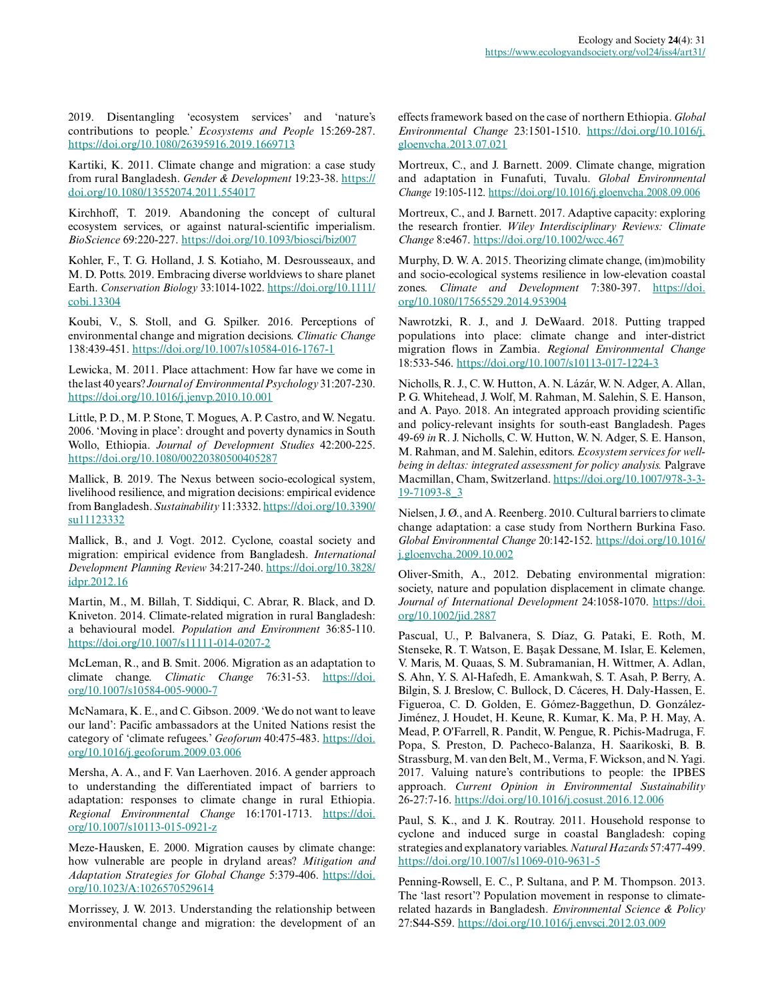2019. Disentangling 'ecosystem services' and 'nature's contributions to people.' *Ecosystems and People* 15:269-287. <https://doi.org/10.1080/26395916.2019.1669713>

Kartiki, K. 2011. Climate change and migration: a case study from rural Bangladesh. *Gender & Development* 19:23-38. [https://](https://doi.org/10.1080/13552074.2011.554017) [doi.org/10.1080/13552074.2011.554017](https://doi.org/10.1080/13552074.2011.554017) 

Kirchhoff, T. 2019. Abandoning the concept of cultural ecosystem services, or against natural-scientific imperialism. *BioScience* 69:220-227.<https://doi.org/10.1093/biosci/biz007>

Kohler, F., T. G. Holland, J. S. Kotiaho, M. Desrousseaux, and M. D. Potts. 2019. Embracing diverse worldviews to share planet Earth. *Conservation Biology* 33:1014-1022. [https://doi.org/10.1111/](https://doi.org/10.1111/cobi.13304) [cobi.13304](https://doi.org/10.1111/cobi.13304)

Koubi, V., S. Stoll, and G. Spilker. 2016. Perceptions of environmental change and migration decisions. *Climatic Change* 138:439-451. <https://doi.org/10.1007/s10584-016-1767-1>

Lewicka, M. 2011. Place attachment: How far have we come in the last 40 years? *Journal of Environmental Psychology* 31:207-230. <https://doi.org/10.1016/j.jenvp.2010.10.001>

Little, P. D., M. P. Stone, T. Mogues, A. P. Castro, and W. Negatu. 2006. 'Moving in place': drought and poverty dynamics in South Wollo, Ethiopia. *Journal of Development Studies* 42:200-225. <https://doi.org/10.1080/00220380500405287>

Mallick, B. 2019. The Nexus between socio-ecological system, livelihood resilience, and migration decisions: empirical evidence from Bangladesh. *Sustainability* 11:3332. [https://doi.org/10.3390/](https://doi.org/10.3390/su11123332) [su11123332](https://doi.org/10.3390/su11123332)

Mallick, B., and J. Vogt. 2012. Cyclone, coastal society and migration: empirical evidence from Bangladesh. *International Development Planning Review* 34:217-240. [https://doi.org/10.3828/](https://doi.org/10.3828/idpr.2012.16) [idpr.2012.16](https://doi.org/10.3828/idpr.2012.16)

Martin, M., M. Billah, T. Siddiqui, C. Abrar, R. Black, and D. Kniveton. 2014. Climate-related migration in rural Bangladesh: a behavioural model. *Population and Environment* 36:85-110. <https://doi.org/10.1007/s11111-014-0207-2>

McLeman, R., and B. Smit. 2006. Migration as an adaptation to climate change. *Climatic Change* 76:31-53. [https://doi.](https://doi.org/10.1007/s10584-005-9000-7) [org/10.1007/s10584-005-9000-7](https://doi.org/10.1007/s10584-005-9000-7)

McNamara, K. E., and C. Gibson. 2009. 'We do not want to leave our land': Pacific ambassadors at the United Nations resist the category of 'climate refugees.' *Geoforum* 40:475-483. [https://doi.](https://doi.org/10.1016/j.geoforum.2009.03.006) [org/10.1016/j.geoforum.2009.03.006](https://doi.org/10.1016/j.geoforum.2009.03.006) 

Mersha, A. A., and F. Van Laerhoven. 2016. A gender approach to understanding the differentiated impact of barriers to adaptation: responses to climate change in rural Ethiopia. *Regional Environmental Change* 16:1701-1713. [https://doi.](https://doi.org/10.1007/s10113-015-0921-z) [org/10.1007/s10113-015-0921-z](https://doi.org/10.1007/s10113-015-0921-z) 

Meze-Hausken, E. 2000. Migration causes by climate change: how vulnerable are people in dryland areas? *Mitigation and Adaptation Strategies for Global Change* 5:379-406. [https://doi.](https://doi.org/10.1023/A:1026570529614) [org/10.1023/A:1026570529614](https://doi.org/10.1023/A:1026570529614)

Morrissey, J. W. 2013. Understanding the relationship between environmental change and migration: the development of an effects framework based on the case of northern Ethiopia. *Global Environmental Change* 23:1501-1510. [https://doi.org/10.1016/j.](https://doi.org/10.1016/j.gloenvcha.2013.07.021) [gloenvcha.2013.07.021](https://doi.org/10.1016/j.gloenvcha.2013.07.021)

Mortreux, C., and J. Barnett. 2009. Climate change, migration and adaptation in Funafuti, Tuvalu. *Global Environmental Change* 19:105-112.<https://doi.org/10.1016/j.gloenvcha.2008.09.006>

Mortreux, C., and J. Barnett. 2017. Adaptive capacity: exploring the research frontier. *Wiley Interdisciplinary Reviews: Climate Change* 8:e467.<https://doi.org/10.1002/wcc.467>

Murphy, D. W. A. 2015. Theorizing climate change, (im)mobility and socio-ecological systems resilience in low-elevation coastal zones. *Climate and Development* 7:380-397. [https://doi.](https://doi.org/10.1080/17565529.2014.953904) [org/10.1080/17565529.2014.953904](https://doi.org/10.1080/17565529.2014.953904)

Nawrotzki, R. J., and J. DeWaard. 2018. Putting trapped populations into place: climate change and inter-district migration flows in Zambia. *Regional Environmental Change* 18:533-546.<https://doi.org/10.1007/s10113-017-1224-3>

Nicholls, R. J., C. W. Hutton, A. N. Lázár, W. N. Adger, A. Allan, P. G. Whitehead, J. Wolf, M. Rahman, M. Salehin, S. E. Hanson, and A. Payo. 2018. An integrated approach providing scientific and policy-relevant insights for south-east Bangladesh. Pages 49-69 *in* R. J. Nicholls, C. W. Hutton, W. N. Adger, S. E. Hanson, M. Rahman, and M. Salehin, editors. *Ecosystem services for wellbeing in deltas: integrated assessment for policy analysis.* Palgrave Macmillan, Cham, Switzerland. [https://doi.org/10.1007/978-3-3](https://doi.org/10.1007/978-3-319-71093-8_3) [19-71093-8\\_3](https://doi.org/10.1007/978-3-319-71093-8_3) 

Nielsen, J. Ø., and A. Reenberg. 2010. Cultural barriers to climate change adaptation: a case study from Northern Burkina Faso. *Global Environmental Change* 20:142-152. [https://doi.org/10.1016/](https://doi.org/10.1016/j.gloenvcha.2009.10.002) [j.gloenvcha.2009.10.002](https://doi.org/10.1016/j.gloenvcha.2009.10.002) 

Oliver‐Smith, A., 2012. Debating environmental migration: society, nature and population displacement in climate change. *Journal of International Development* 24:1058-1070. [https://doi.](https://doi.org/10.1002/jid.2887) [org/10.1002/jid.2887](https://doi.org/10.1002/jid.2887)

Pascual, U., P. Balvanera, S. Díaz, G. Pataki, E. Roth, M. Stenseke, R. T. Watson, E. Başak Dessane, M. Islar, E. Kelemen, V. Maris, M. Quaas, S. M. Subramanian, H. Wittmer, A. Adlan, S. Ahn, Y. S. Al-Hafedh, E. Amankwah, S. T. Asah, P. Berry, A. Bilgin, S. J. Breslow, C. Bullock, D. Cáceres, H. Daly-Hassen, E. Figueroa, C. D. Golden, E. Gómez-Baggethun, D. González-Jiménez, J. Houdet, H. Keune, R. Kumar, K. Ma, P. H. May, A. Mead, P. O'Farrell, R. Pandit, W. Pengue, R. Pichis-Madruga, F. Popa, S. Preston, D. Pacheco-Balanza, H. Saarikoski, B. B. Strassburg, M. van den Belt, M., Verma, F. Wickson, and N. Yagi. 2017. Valuing nature's contributions to people: the IPBES approach. *Current Opinion in Environmental Sustainability* 26-27:7-16. <https://doi.org/10.1016/j.cosust.2016.12.006>

Paul, S. K., and J. K. Routray. 2011. Household response to cyclone and induced surge in coastal Bangladesh: coping strategies and explanatory variables. *Natural Hazards* 57:477-499. <https://doi.org/10.1007/s11069-010-9631-5>

Penning-Rowsell, E. C., P. Sultana, and P. M. Thompson. 2013. The 'last resort'? Population movement in response to climaterelated hazards in Bangladesh. *Environmental Science & Policy* 27:S44-S59.<https://doi.org/10.1016/j.envsci.2012.03.009>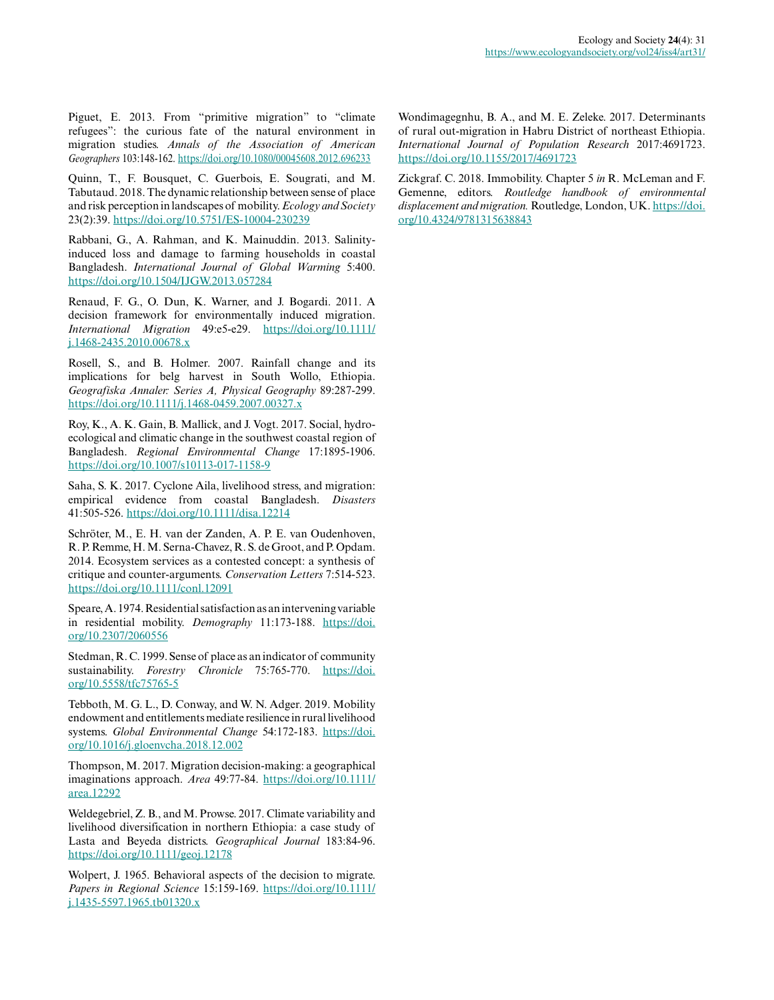Piguet, E. 2013. From "primitive migration" to "climate refugees": the curious fate of the natural environment in migration studies. *Annals of the Association of American Geographers* 103:148-162. <https://doi.org/10.1080/00045608.2012.696233>

Quinn, T., F. Bousquet, C. Guerbois, E. Sougrati, and M. Tabutaud. 2018. The dynamic relationship between sense of place and risk perception in landscapes of mobility. *Ecology and Society* 23(2):39. <https://doi.org/10.5751/ES-10004-230239>

Rabbani, G., A. Rahman, and K. Mainuddin. 2013. Salinityinduced loss and damage to farming households in coastal Bangladesh. *International Journal of Global Warming* 5:400. <https://doi.org/10.1504/IJGW.2013.057284>

Renaud, F. G., O. Dun, K. Warner, and J. Bogardi. 2011. A decision framework for environmentally induced migration. *International Migration* 49:e5-e29. [https://doi.org/10.1111/](https://doi.org/10.1111/j.1468-2435.2010.00678.x) [j.1468-2435.2010.00678.x](https://doi.org/10.1111/j.1468-2435.2010.00678.x)

Rosell, S., and B. Holmer. 2007. Rainfall change and its implications for belg harvest in South Wollo, Ethiopia. *Geografiska Annaler: Series A, Physical Geography* 89:287-299. <https://doi.org/10.1111/j.1468-0459.2007.00327.x>

Roy, K., A. K. Gain, B. Mallick, and J. Vogt. 2017. Social, hydroecological and climatic change in the southwest coastal region of Bangladesh. *Regional Environmental Change* 17:1895-1906. <https://doi.org/10.1007/s10113-017-1158-9>

Saha, S. K. 2017. Cyclone Aila, livelihood stress, and migration: empirical evidence from coastal Bangladesh. *Disasters* 41:505-526.<https://doi.org/10.1111/disa.12214>

Schröter, M., E. H. van der Zanden, A. P. E. van Oudenhoven, R. P. Remme, H. M. Serna‐Chavez, R. S. de Groot, and P. Opdam. 2014. Ecosystem services as a contested concept: a synthesis of critique and counter-arguments. *Conservation Letters* 7:514-523. <https://doi.org/10.1111/conl.12091>

Speare, A. 1974. Residential satisfaction as an intervening variable in residential mobility. *Demography* 11:173-188. [https://doi.](https://doi.org/10.2307/2060556) [org/10.2307/2060556](https://doi.org/10.2307/2060556) 

Stedman, R. C. 1999. Sense of place as an indicator of community sustainability. *Forestry Chronicle* 75:765-770. [https://doi.](https://doi.org/10.5558/tfc75765-5) [org/10.5558/tfc75765-5](https://doi.org/10.5558/tfc75765-5)

Tebboth, M. G. L., D. Conway, and W. N. Adger. 2019. Mobility endowment and entitlements mediate resilience in rural livelihood systems. *Global Environmental Change* 54:172-183. [https://doi.](https://doi.org/10.1016/j.gloenvcha.2018.12.002) [org/10.1016/j.gloenvcha.2018.12.002](https://doi.org/10.1016/j.gloenvcha.2018.12.002)

Thompson, M. 2017. Migration decision-making: a geographical imaginations approach. *Area* 49:77-84. [https://doi.org/10.1111/](https://doi.org/10.1111/area.12292) [area.12292](https://doi.org/10.1111/area.12292)

Weldegebriel, Z. B., and M. Prowse. 2017. Climate variability and livelihood diversification in northern Ethiopia: a case study of Lasta and Beyeda districts. *Geographical Journal* 183:84-96. <https://doi.org/10.1111/geoj.12178>

Wolpert, J. 1965. Behavioral aspects of the decision to migrate. *Papers in Regional Science* 15:159-169. [https://doi.org/10.1111/](https://doi.org/10.1111/j.1435-5597.1965.tb01320.x) [j.1435-5597.1965.tb01320.x](https://doi.org/10.1111/j.1435-5597.1965.tb01320.x)

Wondimagegnhu, B. A., and M. E. Zeleke. 2017. Determinants of rural out-migration in Habru District of northeast Ethiopia. *International Journal of Population Research* 2017:4691723. <https://doi.org/10.1155/2017/4691723>

Zickgraf. C. 2018. Immobility. Chapter 5 *in* R. McLeman and F. Gemenne, editors. *Routledge handbook of environmental displacement and migration.* Routledge, London, UK. [https://doi.](https://doi.org/10.4324/9781315638843) [org/10.4324/9781315638843](https://doi.org/10.4324/9781315638843)